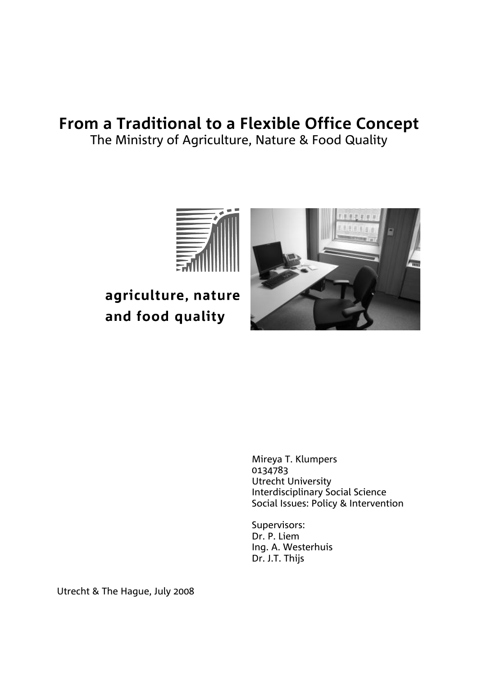# **From a Traditional to a Flexible Office Concept**  The Ministry of Agriculture, Nature & Food Quality



agriculture, nature and food quality



Mireya T. Klumpers 0134783 Utrecht University Interdisciplinary Social Science Social Issues: Policy & Intervention

Supervisors: Dr. P. Liem Ing. A. Westerhuis Dr. J.T. Thijs

Utrecht & The Hague, July 2008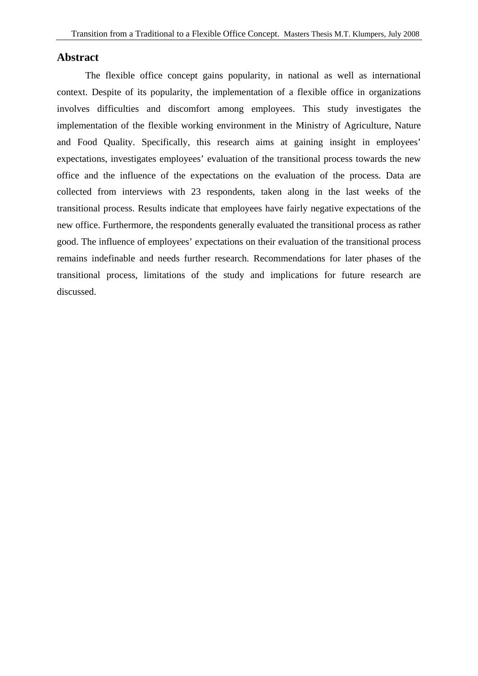## **Abstract**

The flexible office concept gains popularity, in national as well as international context. Despite of its popularity, the implementation of a flexible office in organizations involves difficulties and discomfort among employees. This study investigates the implementation of the flexible working environment in the Ministry of Agriculture, Nature and Food Quality. Specifically, this research aims at gaining insight in employees' expectations, investigates employees' evaluation of the transitional process towards the new office and the influence of the expectations on the evaluation of the process. Data are collected from interviews with 23 respondents, taken along in the last weeks of the transitional process. Results indicate that employees have fairly negative expectations of the new office. Furthermore, the respondents generally evaluated the transitional process as rather good. The influence of employees' expectations on their evaluation of the transitional process remains indefinable and needs further research. Recommendations for later phases of the transitional process, limitations of the study and implications for future research are discussed.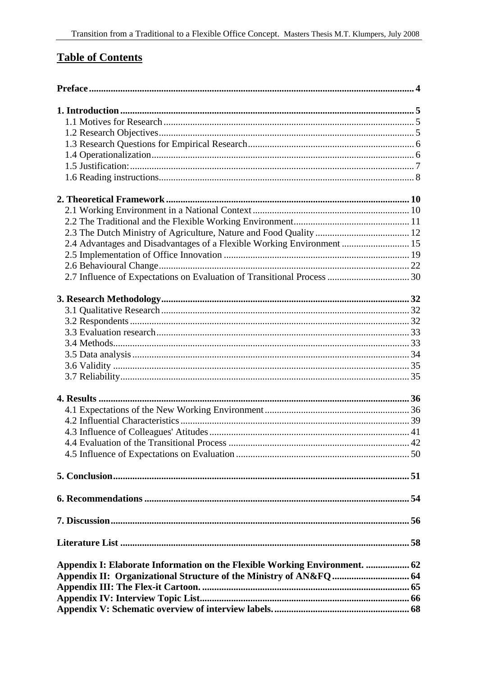## **Table of Contents**

| 2.4 Advantages and Disadvantages of a Flexible Working Environment  15     |  |
|----------------------------------------------------------------------------|--|
|                                                                            |  |
|                                                                            |  |
|                                                                            |  |
|                                                                            |  |
|                                                                            |  |
|                                                                            |  |
|                                                                            |  |
|                                                                            |  |
|                                                                            |  |
|                                                                            |  |
|                                                                            |  |
|                                                                            |  |
|                                                                            |  |
|                                                                            |  |
|                                                                            |  |
|                                                                            |  |
|                                                                            |  |
|                                                                            |  |
|                                                                            |  |
|                                                                            |  |
|                                                                            |  |
|                                                                            |  |
| Appendix I: Elaborate Information on the Flexible Working Environment.  62 |  |
|                                                                            |  |
|                                                                            |  |
|                                                                            |  |
|                                                                            |  |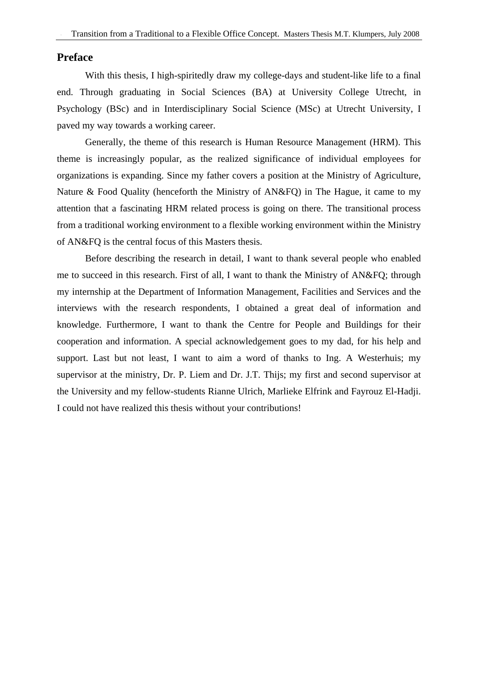## <span id="page-3-0"></span>**Preface**

With this thesis, I high-spiritedly draw my college-days and student-like life to a final end. Through graduating in Social Sciences (BA) at University College Utrecht, in Psychology (BSc) and in Interdisciplinary Social Science (MSc) at Utrecht University, I paved my way towards a working career.

Generally, the theme of this research is Human Resource Management (HRM). This theme is increasingly popular, as the realized significance of individual employees for organizations is expanding. Since my father covers a position at the Ministry of Agriculture, Nature & Food Quality (henceforth the Ministry of AN&FQ) in The Hague, it came to my attention that a fascinating HRM related process is going on there. The transitional process from a traditional working environment to a flexible working environment within the Ministry of AN&FQ is the central focus of this Masters thesis.

Before describing the research in detail, I want to thank several people who enabled me to succeed in this research. First of all, I want to thank the Ministry of AN&FQ; through my internship at the Department of Information Management, Facilities and Services and the interviews with the research respondents, I obtained a great deal of information and knowledge. Furthermore, I want to thank the Centre for People and Buildings for their cooperation and information. A special acknowledgement goes to my dad, for his help and support. Last but not least, I want to aim a word of thanks to Ing. A Westerhuis; my supervisor at the ministry, Dr. P. Liem and Dr. J.T. Thijs; my first and second supervisor at the University and my fellow-students Rianne Ulrich, Marlieke Elfrink and Fayrouz El-Hadji. I could not have realized this thesis without your contributions!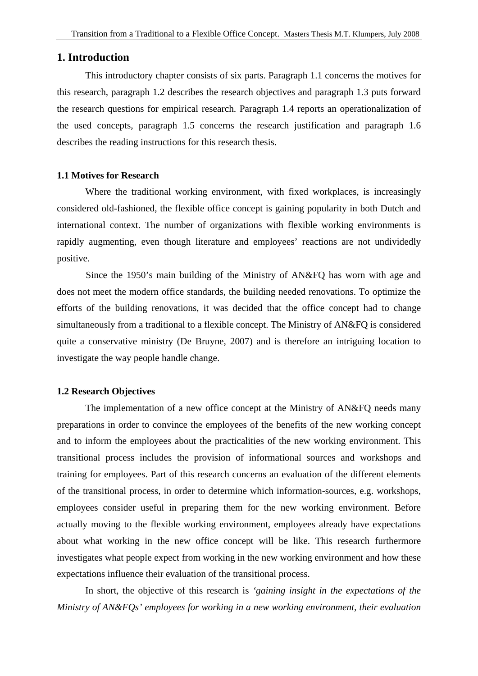## <span id="page-4-0"></span>**1. Introduction**

This introductory chapter consists of six parts. Paragraph 1.1 concerns the motives for this research, paragraph 1.2 describes the research objectives and paragraph 1.3 puts forward the research questions for empirical research. Paragraph 1.4 reports an operationalization of the used concepts, paragraph 1.5 concerns the research justification and paragraph 1.6 describes the reading instructions for this research thesis.

#### **1.1 Motives for Research**

Where the traditional working environment, with fixed workplaces, is increasingly considered old-fashioned, the flexible office concept is gaining popularity in both Dutch and international context. The number of organizations with flexible working environments is rapidly augmenting, even though literature and employees' reactions are not undividedly positive.

Since the 1950's main building of the Ministry of AN&FQ has worn with age and does not meet the modern office standards, the building needed renovations. To optimize the efforts of the building renovations, it was decided that the office concept had to change simultaneously from a traditional to a flexible concept. The Ministry of AN&FQ is considered quite a conservative ministry (De Bruyne, 2007) and is therefore an intriguing location to investigate the way people handle change.

## **1.2 Research Objectives**

The implementation of a new office concept at the Ministry of AN&FQ needs many preparations in order to convince the employees of the benefits of the new working concept and to inform the employees about the practicalities of the new working environment. This transitional process includes the provision of informational sources and workshops and training for employees. Part of this research concerns an evaluation of the different elements of the transitional process, in order to determine which information-sources, e.g. workshops, employees consider useful in preparing them for the new working environment. Before actually moving to the flexible working environment, employees already have expectations about what working in the new office concept will be like. This research furthermore investigates what people expect from working in the new working environment and how these expectations influence their evaluation of the transitional process.

In short, the objective of this research is *'gaining insight in the expectations of the Ministry of AN&FQs' employees for working in a new working environment, their evaluation*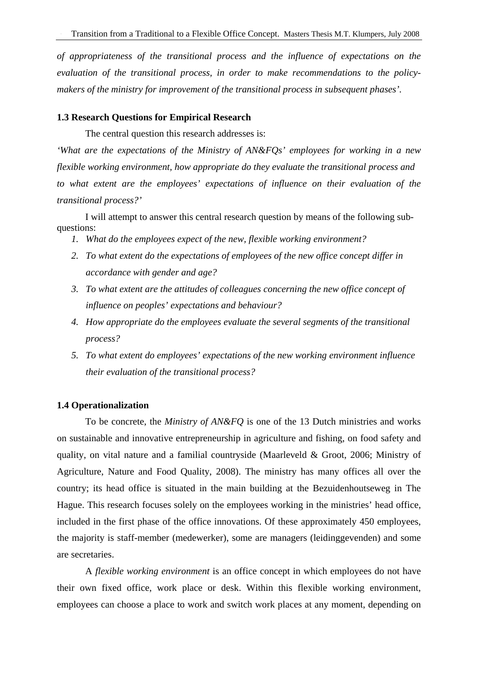<span id="page-5-0"></span>*of appropriateness of the transitional process and the influence of expectations on the evaluation of the transitional process, in order to make recommendations to the policymakers of the ministry for improvement of the transitional process in subsequent phases'.* 

#### **1.3 Research Questions for Empirical Research**

The central question this research addresses is:

*'What are the expectations of the Ministry of AN&FQs' employees for working in a new flexible working environment, how appropriate do they evaluate the transitional process and to what extent are the employees' expectations of influence on their evaluation of the transitional process?'* 

 I will attempt to answer this central research question by means of the following subquestions:

- *1. What do the employees expect of the new, flexible working environment?*
- *2. To what extent do the expectations of employees of the new office concept differ in accordance with gender and age?*
- *3. To what extent are the attitudes of colleagues concerning the new office concept of influence on peoples' expectations and behaviour?*
- *4. How appropriate do the employees evaluate the several segments of the transitional process?*
- *5. To what extent do employees' expectations of the new working environment influence their evaluation of the transitional process?*

#### **1.4 Operationalization**

To be concrete, the *Ministry of AN&FQ* is one of the 13 Dutch ministries and works on sustainable and innovative entrepreneurship in agriculture and fishing, on food safety and quality, on vital nature and a familial countryside (Maarleveld & Groot, 2006; Ministry of Agriculture, Nature and Food Quality, 2008). The ministry has many offices all over the country; its head office is situated in the main building at the Bezuidenhoutseweg in The Hague. This research focuses solely on the employees working in the ministries' head office, included in the first phase of the office innovations. Of these approximately 450 employees, the majority is staff-member (medewerker), some are managers (leidinggevenden) and some are secretaries.

A *flexible working environment* is an office concept in which employees do not have their own fixed office, work place or desk. Within this flexible working environment, employees can choose a place to work and switch work places at any moment, depending on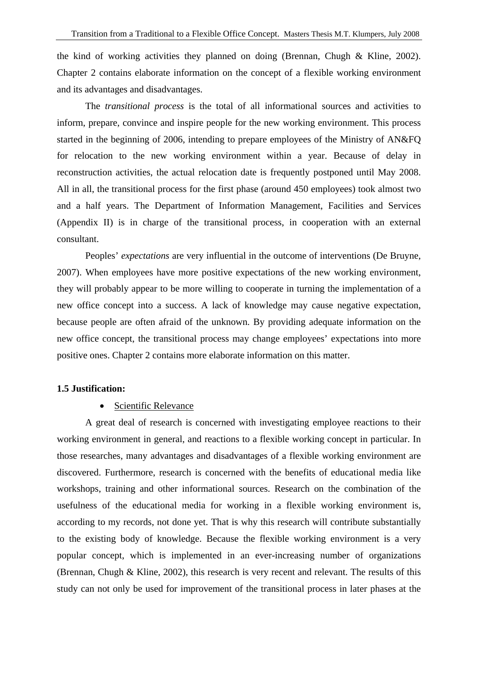<span id="page-6-0"></span>the kind of working activities they planned on doing (Brennan, Chugh & Kline, 2002). Chapter 2 contains elaborate information on the concept of a flexible working environment and its advantages and disadvantages.

The *transitional process* is the total of all informational sources and activities to inform, prepare, convince and inspire people for the new working environment. This process started in the beginning of 2006, intending to prepare employees of the Ministry of AN&FQ for relocation to the new working environment within a year. Because of delay in reconstruction activities, the actual relocation date is frequently postponed until May 2008. All in all, the transitional process for the first phase (around 450 employees) took almost two and a half years. The Department of Information Management, Facilities and Services (Appendix II) is in charge of the transitional process, in cooperation with an external consultant.

Peoples' *expectations* are very influential in the outcome of interventions (De Bruyne, 2007). When employees have more positive expectations of the new working environment, they will probably appear to be more willing to cooperate in turning the implementation of a new office concept into a success. A lack of knowledge may cause negative expectation, because people are often afraid of the unknown. By providing adequate information on the new office concept, the transitional process may change employees' expectations into more positive ones. Chapter 2 contains more elaborate information on this matter.

#### **1.5 Justification:**

#### • Scientific Relevance

A great deal of research is concerned with investigating employee reactions to their working environment in general, and reactions to a flexible working concept in particular. In those researches, many advantages and disadvantages of a flexible working environment are discovered. Furthermore, research is concerned with the benefits of educational media like workshops, training and other informational sources. Research on the combination of the usefulness of the educational media for working in a flexible working environment is, according to my records, not done yet. That is why this research will contribute substantially to the existing body of knowledge. Because the flexible working environment is a very popular concept, which is implemented in an ever-increasing number of organizations (Brennan, Chugh & Kline, 2002), this research is very recent and relevant. The results of this study can not only be used for improvement of the transitional process in later phases at the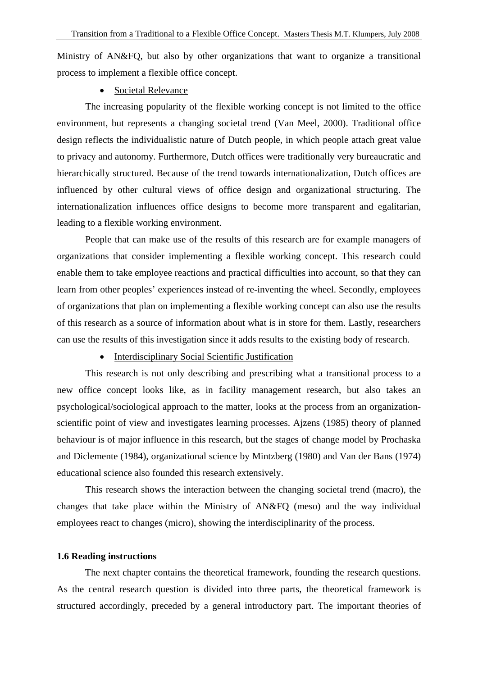<span id="page-7-0"></span>Ministry of AN&FQ, but also by other organizations that want to organize a transitional process to implement a flexible office concept.

#### • Societal Relevance

The increasing popularity of the flexible working concept is not limited to the office environment, but represents a changing societal trend (Van Meel, 2000). Traditional office design reflects the individualistic nature of Dutch people, in which people attach great value to privacy and autonomy. Furthermore, Dutch offices were traditionally very bureaucratic and hierarchically structured. Because of the trend towards internationalization, Dutch offices are influenced by other cultural views of office design and organizational structuring. The internationalization influences office designs to become more transparent and egalitarian, leading to a flexible working environment.

People that can make use of the results of this research are for example managers of organizations that consider implementing a flexible working concept. This research could enable them to take employee reactions and practical difficulties into account, so that they can learn from other peoples' experiences instead of re-inventing the wheel. Secondly, employees of organizations that plan on implementing a flexible working concept can also use the results of this research as a source of information about what is in store for them. Lastly, researchers can use the results of this investigation since it adds results to the existing body of research.

## • Interdisciplinary Social Scientific Justification

This research is not only describing and prescribing what a transitional process to a new office concept looks like, as in facility management research, but also takes an psychological/sociological approach to the matter, looks at the process from an organizationscientific point of view and investigates learning processes. Ajzens (1985) theory of planned behaviour is of major influence in this research, but the stages of change model by Prochaska and Diclemente (1984), organizational science by Mintzberg (1980) and Van der Bans (1974) educational science also founded this research extensively.

This research shows the interaction between the changing societal trend (macro), the changes that take place within the Ministry of AN&FQ (meso) and the way individual employees react to changes (micro), showing the interdisciplinarity of the process.

#### **1.6 Reading instructions**

The next chapter contains the theoretical framework, founding the research questions. As the central research question is divided into three parts, the theoretical framework is structured accordingly, preceded by a general introductory part. The important theories of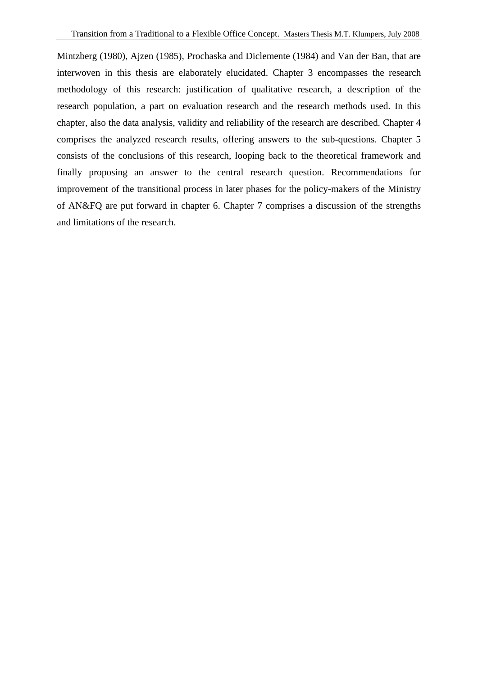Mintzberg (1980), Ajzen (1985), Prochaska and Diclemente (1984) and Van der Ban, that are interwoven in this thesis are elaborately elucidated. Chapter 3 encompasses the research methodology of this research: justification of qualitative research, a description of the research population, a part on evaluation research and the research methods used. In this chapter, also the data analysis, validity and reliability of the research are described. Chapter 4 comprises the analyzed research results, offering answers to the sub-questions. Chapter 5 consists of the conclusions of this research, looping back to the theoretical framework and finally proposing an answer to the central research question. Recommendations for improvement of the transitional process in later phases for the policy-makers of the Ministry of AN&FQ are put forward in chapter 6. Chapter 7 comprises a discussion of the strengths and limitations of the research.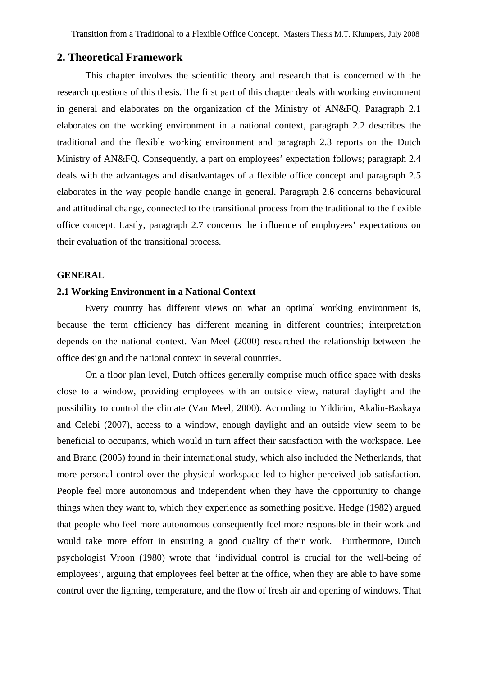## <span id="page-9-0"></span>**2. Theoretical Framework**

This chapter involves the scientific theory and research that is concerned with the research questions of this thesis. The first part of this chapter deals with working environment in general and elaborates on the organization of the Ministry of AN&FQ. Paragraph 2.1 elaborates on the working environment in a national context, paragraph 2.2 describes the traditional and the flexible working environment and paragraph 2.3 reports on the Dutch Ministry of AN&FQ. Consequently, a part on employees' expectation follows; paragraph 2.4 deals with the advantages and disadvantages of a flexible office concept and paragraph 2.5 elaborates in the way people handle change in general. Paragraph 2.6 concerns behavioural and attitudinal change, connected to the transitional process from the traditional to the flexible office concept. Lastly, paragraph 2.7 concerns the influence of employees' expectations on their evaluation of the transitional process.

#### **GENERAL**

## **2.1 Working Environment in a National Context**

Every country has different views on what an optimal working environment is, because the term efficiency has different meaning in different countries; interpretation depends on the national context. Van Meel (2000) researched the relationship between the office design and the national context in several countries.

On a floor plan level, Dutch offices generally comprise much office space with desks close to a window, providing employees with an outside view, natural daylight and the possibility to control the climate (Van Meel, 2000). According to Yildirim, Akalin-Baskaya and Celebi (2007), access to a window, enough daylight and an outside view seem to be beneficial to occupants, which would in turn affect their satisfaction with the workspace. Lee and Brand (2005) found in their international study, which also included the Netherlands, that more personal control over the physical workspace led to higher perceived job satisfaction. People feel more autonomous and independent when they have the opportunity to change things when they want to, which they experience as something positive. Hedge (1982) argued that people who feel more autonomous consequently feel more responsible in their work and would take more effort in ensuring a good quality of their work. Furthermore, Dutch psychologist Vroon (1980) wrote that 'individual control is crucial for the well-being of employees', arguing that employees feel better at the office, when they are able to have some control over the lighting, temperature, and the flow of fresh air and opening of windows. That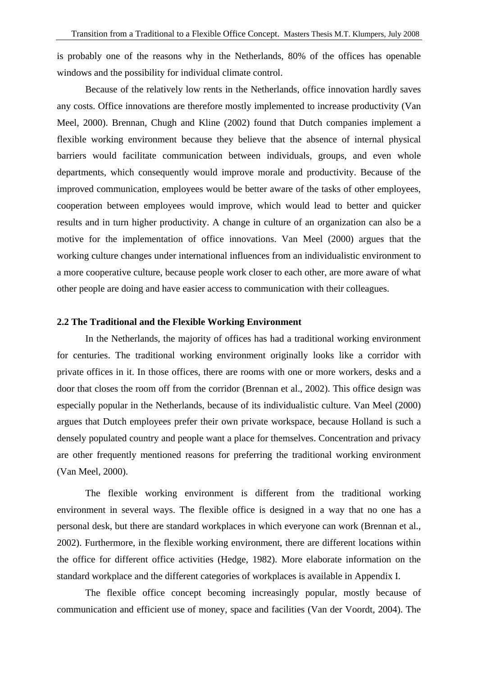<span id="page-10-0"></span>is probably one of the reasons why in the Netherlands, 80% of the offices has openable windows and the possibility for individual climate control.

Because of the relatively low rents in the Netherlands, office innovation hardly saves any costs. Office innovations are therefore mostly implemented to increase productivity (Van Meel, 2000). Brennan, Chugh and Kline (2002) found that Dutch companies implement a flexible working environment because they believe that the absence of internal physical barriers would facilitate communication between individuals, groups, and even whole departments, which consequently would improve morale and productivity. Because of the improved communication, employees would be better aware of the tasks of other employees, cooperation between employees would improve, which would lead to better and quicker results and in turn higher productivity. A change in culture of an organization can also be a motive for the implementation of office innovations. Van Meel (2000) argues that the working culture changes under international influences from an individualistic environment to a more cooperative culture, because people work closer to each other, are more aware of what other people are doing and have easier access to communication with their colleagues.

#### **2.2 The Traditional and the Flexible Working Environment**

In the Netherlands, the majority of offices has had a traditional working environment for centuries. The traditional working environment originally looks like a corridor with private offices in it. In those offices, there are rooms with one or more workers, desks and a door that closes the room off from the corridor (Brennan et al., 2002). This office design was especially popular in the Netherlands, because of its individualistic culture. Van Meel (2000) argues that Dutch employees prefer their own private workspace, because Holland is such a densely populated country and people want a place for themselves. Concentration and privacy are other frequently mentioned reasons for preferring the traditional working environment (Van Meel, 2000).

The flexible working environment is different from the traditional working environment in several ways. The flexible office is designed in a way that no one has a personal desk, but there are standard workplaces in which everyone can work (Brennan et al., 2002). Furthermore, in the flexible working environment, there are different locations within the office for different office activities (Hedge, 1982). More elaborate information on the standard workplace and the different categories of workplaces is available in Appendix I.

The flexible office concept becoming increasingly popular, mostly because of communication and efficient use of money, space and facilities (Van der Voordt, 2004). The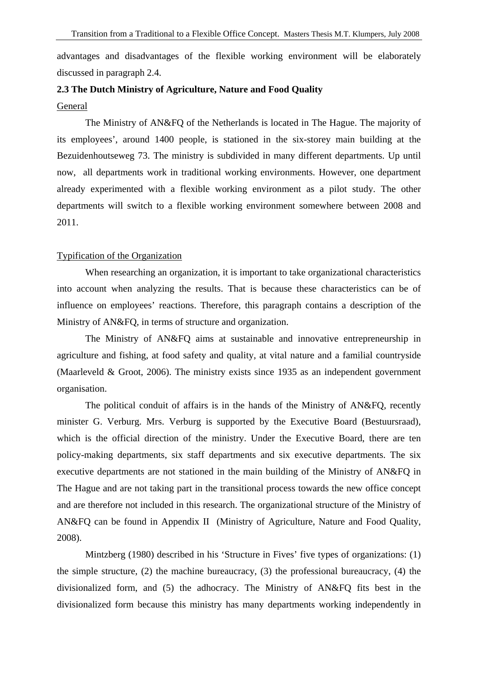<span id="page-11-0"></span>advantages and disadvantages of the flexible working environment will be elaborately discussed in paragraph 2.4.

## **2.3 The Dutch Ministry of Agriculture, Nature and Food Quality**  General

The Ministry of AN&FQ of the Netherlands is located in The Hague. The majority of its employees', around 1400 people, is stationed in the six-storey main building at the Bezuidenhoutseweg 73. The ministry is subdivided in many different departments. Up until now, all departments work in traditional working environments. However, one department already experimented with a flexible working environment as a pilot study. The other departments will switch to a flexible working environment somewhere between 2008 and 2011.

### Typification of the Organization

When researching an organization, it is important to take organizational characteristics into account when analyzing the results. That is because these characteristics can be of influence on employees' reactions. Therefore, this paragraph contains a description of the Ministry of AN&FQ, in terms of structure and organization.

The Ministry of AN&FQ aims at sustainable and innovative entrepreneurship in agriculture and fishing, at food safety and quality, at vital nature and a familial countryside (Maarleveld & Groot, 2006). The ministry exists since 1935 as an independent government organisation.

 The political conduit of affairs is in the hands of the Ministry of AN&FQ, recently minister G. Verburg. Mrs. Verburg is supported by the Executive Board (Bestuursraad), which is the official direction of the ministry. Under the Executive Board, there are ten policy-making departments, six staff departments and six executive departments. The six executive departments are not stationed in the main building of the Ministry of AN&FQ in The Hague and are not taking part in the transitional process towards the new office concept and are therefore not included in this research. The organizational structure of the Ministry of AN&FQ can be found in Appendix II (Ministry of Agriculture, Nature and Food Quality, 2008).

 Mintzberg (1980) described in his 'Structure in Fives' five types of organizations: (1) the simple structure, (2) the machine bureaucracy, (3) the professional bureaucracy, (4) the divisionalized form, and (5) the adhocracy. The Ministry of AN&FQ fits best in the divisionalized form because this ministry has many departments working independently in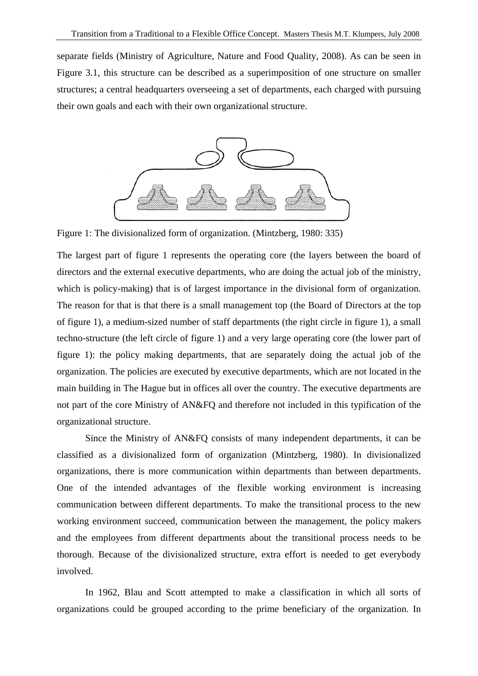separate fields (Ministry of Agriculture, Nature and Food Quality, 2008). As can be seen in Figure 3.1, this structure can be described as a superimposition of one structure on smaller structures; a central headquarters overseeing a set of departments, each charged with pursuing their own goals and each with their own organizational structure.



Figure 1: The divisionalized form of organization. (Mintzberg, 1980: 335)

The largest part of figure 1 represents the operating core (the layers between the board of directors and the external executive departments, who are doing the actual job of the ministry, which is policy-making) that is of largest importance in the divisional form of organization. The reason for that is that there is a small management top (the Board of Directors at the top of figure 1), a medium-sized number of staff departments (the right circle in figure 1), a small techno-structure (the left circle of figure 1) and a very large operating core (the lower part of figure 1): the policy making departments, that are separately doing the actual job of the organization. The policies are executed by executive departments, which are not located in the main building in The Hague but in offices all over the country. The executive departments are not part of the core Ministry of AN&FQ and therefore not included in this typification of the organizational structure.

Since the Ministry of AN&FQ consists of many independent departments, it can be classified as a divisionalized form of organization (Mintzberg, 1980). In divisionalized organizations, there is more communication within departments than between departments. One of the intended advantages of the flexible working environment is increasing communication between different departments. To make the transitional process to the new working environment succeed, communication between the management, the policy makers and the employees from different departments about the transitional process needs to be thorough. Because of the divisionalized structure, extra effort is needed to get everybody involved.

In 1962, Blau and Scott attempted to make a classification in which all sorts of organizations could be grouped according to the prime beneficiary of the organization. In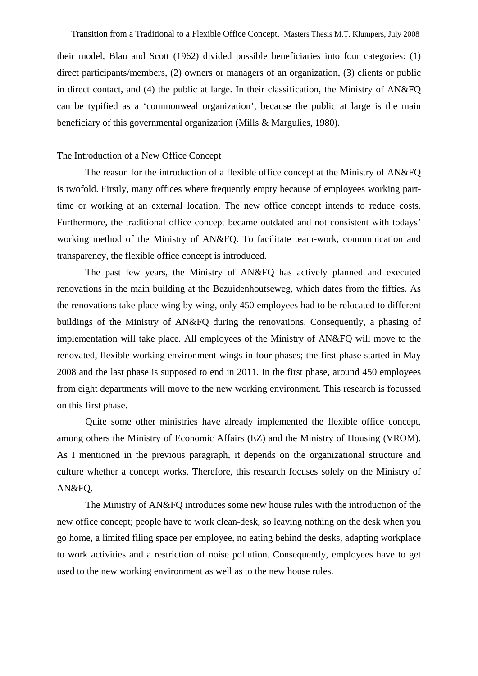their model, Blau and Scott (1962) divided possible beneficiaries into four categories: (1) direct participants/members, (2) owners or managers of an organization, (3) clients or public in direct contact, and (4) the public at large. In their classification, the Ministry of AN&FQ can be typified as a 'commonweal organization', because the public at large is the main beneficiary of this governmental organization (Mills & Margulies, 1980).

#### The Introduction of a New Office Concept

The reason for the introduction of a flexible office concept at the Ministry of AN&FQ is twofold. Firstly, many offices where frequently empty because of employees working parttime or working at an external location. The new office concept intends to reduce costs. Furthermore, the traditional office concept became outdated and not consistent with todays' working method of the Ministry of AN&FQ. To facilitate team-work, communication and transparency, the flexible office concept is introduced.

The past few years, the Ministry of AN&FQ has actively planned and executed renovations in the main building at the Bezuidenhoutseweg, which dates from the fifties. As the renovations take place wing by wing, only 450 employees had to be relocated to different buildings of the Ministry of AN&FQ during the renovations. Consequently, a phasing of implementation will take place. All employees of the Ministry of AN&FQ will move to the renovated, flexible working environment wings in four phases; the first phase started in May 2008 and the last phase is supposed to end in 2011. In the first phase, around 450 employees from eight departments will move to the new working environment. This research is focussed on this first phase.

Quite some other ministries have already implemented the flexible office concept, among others the Ministry of Economic Affairs (EZ) and the Ministry of Housing (VROM). As I mentioned in the previous paragraph, it depends on the organizational structure and culture whether a concept works. Therefore, this research focuses solely on the Ministry of AN&FQ.

The Ministry of AN&FQ introduces some new house rules with the introduction of the new office concept; people have to work clean-desk, so leaving nothing on the desk when you go home, a limited filing space per employee, no eating behind the desks, adapting workplace to work activities and a restriction of noise pollution. Consequently, employees have to get used to the new working environment as well as to the new house rules.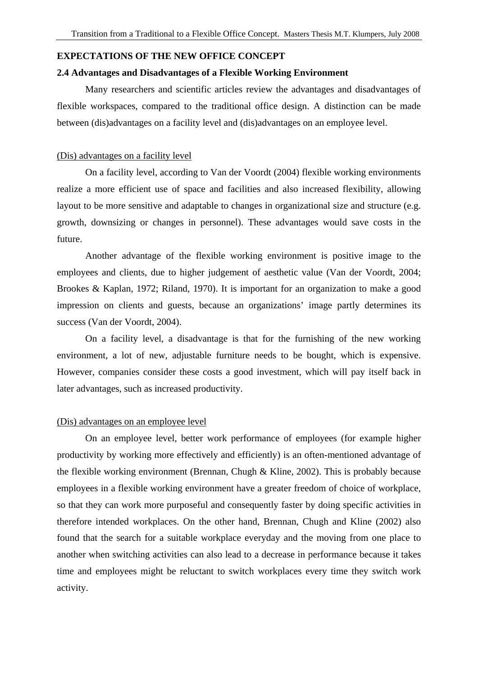#### <span id="page-14-0"></span>**EXPECTATIONS OF THE NEW OFFICE CONCEPT**

#### **2.4 Advantages and Disadvantages of a Flexible Working Environment**

Many researchers and scientific articles review the advantages and disadvantages of flexible workspaces, compared to the traditional office design. A distinction can be made between (dis)advantages on a facility level and (dis)advantages on an employee level.

## (Dis) advantages on a facility level

On a facility level, according to Van der Voordt (2004) flexible working environments realize a more efficient use of space and facilities and also increased flexibility, allowing layout to be more sensitive and adaptable to changes in organizational size and structure (e.g. growth, downsizing or changes in personnel). These advantages would save costs in the future.

Another advantage of the flexible working environment is positive image to the employees and clients, due to higher judgement of aesthetic value (Van der Voordt, 2004; Brookes & Kaplan, 1972; Riland, 1970). It is important for an organization to make a good impression on clients and guests, because an organizations' image partly determines its success (Van der Voordt, 2004).

On a facility level, a disadvantage is that for the furnishing of the new working environment, a lot of new, adjustable furniture needs to be bought, which is expensive. However, companies consider these costs a good investment, which will pay itself back in later advantages, such as increased productivity.

### (Dis) advantages on an employee level

On an employee level, better work performance of employees (for example higher productivity by working more effectively and efficiently) is an often-mentioned advantage of the flexible working environment (Brennan, Chugh & Kline, 2002). This is probably because employees in a flexible working environment have a greater freedom of choice of workplace, so that they can work more purposeful and consequently faster by doing specific activities in therefore intended workplaces. On the other hand, Brennan, Chugh and Kline (2002) also found that the search for a suitable workplace everyday and the moving from one place to another when switching activities can also lead to a decrease in performance because it takes time and employees might be reluctant to switch workplaces every time they switch work activity.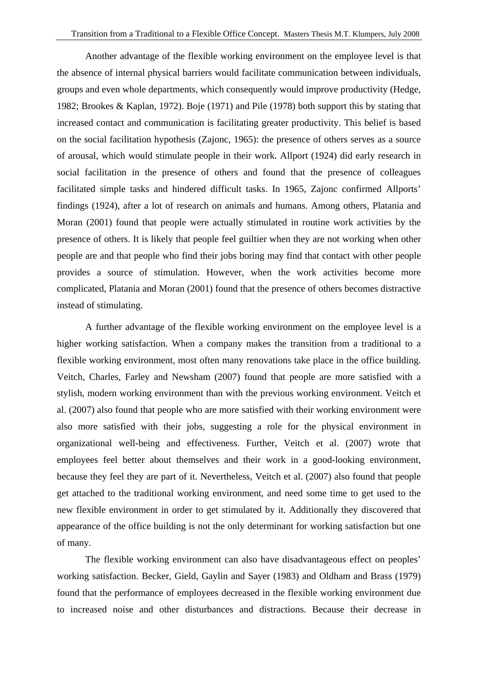Another advantage of the flexible working environment on the employee level is that the absence of internal physical barriers would facilitate communication between individuals, groups and even whole departments, which consequently would improve productivity (Hedge, 1982; Brookes & Kaplan, 1972). Boje (1971) and Pile (1978) both support this by stating that increased contact and communication is facilitating greater productivity. This belief is based on the social facilitation hypothesis (Zajonc, 1965): the presence of others serves as a source of arousal, which would stimulate people in their work. Allport (1924) did early research in social facilitation in the presence of others and found that the presence of colleagues facilitated simple tasks and hindered difficult tasks. In 1965, Zajonc confirmed Allports' findings (1924), after a lot of research on animals and humans. Among others, Platania and Moran (2001) found that people were actually stimulated in routine work activities by the presence of others. It is likely that people feel guiltier when they are not working when other people are and that people who find their jobs boring may find that contact with other people provides a source of stimulation. However, when the work activities become more complicated, Platania and Moran (2001) found that the presence of others becomes distractive instead of stimulating.

A further advantage of the flexible working environment on the employee level is a higher working satisfaction. When a company makes the transition from a traditional to a flexible working environment, most often many renovations take place in the office building. Veitch, Charles, Farley and Newsham (2007) found that people are more satisfied with a stylish, modern working environment than with the previous working environment. Veitch et al. (2007) also found that people who are more satisfied with their working environment were also more satisfied with their jobs, suggesting a role for the physical environment in organizational well-being and effectiveness. Further, Veitch et al. (2007) wrote that employees feel better about themselves and their work in a good-looking environment, because they feel they are part of it. Nevertheless, Veitch et al. (2007) also found that people get attached to the traditional working environment, and need some time to get used to the new flexible environment in order to get stimulated by it. Additionally they discovered that appearance of the office building is not the only determinant for working satisfaction but one of many.

The flexible working environment can also have disadvantageous effect on peoples' working satisfaction. Becker, Gield, Gaylin and Sayer (1983) and Oldham and Brass (1979) found that the performance of employees decreased in the flexible working environment due to increased noise and other disturbances and distractions. Because their decrease in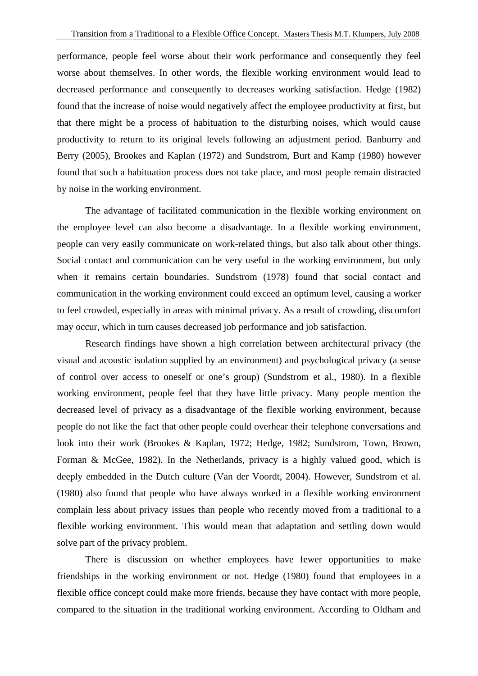performance, people feel worse about their work performance and consequently they feel worse about themselves. In other words, the flexible working environment would lead to decreased performance and consequently to decreases working satisfaction. Hedge (1982) found that the increase of noise would negatively affect the employee productivity at first, but that there might be a process of habituation to the disturbing noises, which would cause productivity to return to its original levels following an adjustment period. Banburry and Berry (2005), Brookes and Kaplan (1972) and Sundstrom, Burt and Kamp (1980) however found that such a habituation process does not take place, and most people remain distracted by noise in the working environment.

The advantage of facilitated communication in the flexible working environment on the employee level can also become a disadvantage. In a flexible working environment, people can very easily communicate on work-related things, but also talk about other things. Social contact and communication can be very useful in the working environment, but only when it remains certain boundaries. Sundstrom (1978) found that social contact and communication in the working environment could exceed an optimum level, causing a worker to feel crowded, especially in areas with minimal privacy. As a result of crowding, discomfort may occur, which in turn causes decreased job performance and job satisfaction.

Research findings have shown a high correlation between architectural privacy (the visual and acoustic isolation supplied by an environment) and psychological privacy (a sense of control over access to oneself or one's group) (Sundstrom et al., 1980). In a flexible working environment, people feel that they have little privacy. Many people mention the decreased level of privacy as a disadvantage of the flexible working environment, because people do not like the fact that other people could overhear their telephone conversations and look into their work (Brookes & Kaplan, 1972; Hedge, 1982; Sundstrom, Town, Brown, Forman & McGee, 1982). In the Netherlands, privacy is a highly valued good, which is deeply embedded in the Dutch culture (Van der Voordt, 2004). However, Sundstrom et al. (1980) also found that people who have always worked in a flexible working environment complain less about privacy issues than people who recently moved from a traditional to a flexible working environment. This would mean that adaptation and settling down would solve part of the privacy problem.

There is discussion on whether employees have fewer opportunities to make friendships in the working environment or not. Hedge (1980) found that employees in a flexible office concept could make more friends, because they have contact with more people, compared to the situation in the traditional working environment. According to Oldham and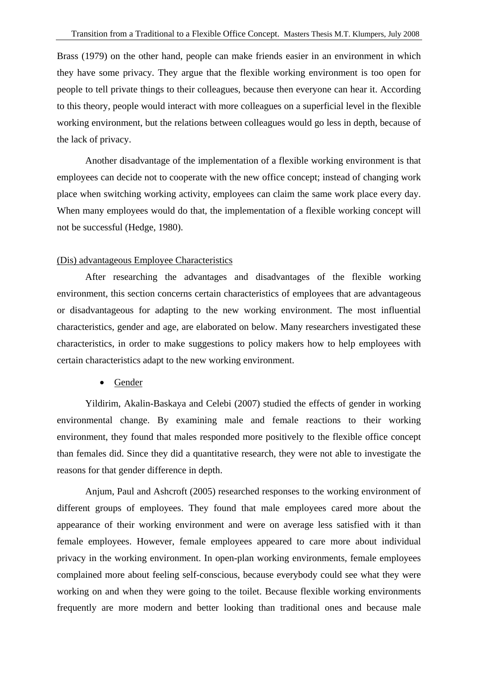Brass (1979) on the other hand, people can make friends easier in an environment in which they have some privacy. They argue that the flexible working environment is too open for people to tell private things to their colleagues, because then everyone can hear it. According to this theory, people would interact with more colleagues on a superficial level in the flexible working environment, but the relations between colleagues would go less in depth, because of the lack of privacy.

Another disadvantage of the implementation of a flexible working environment is that employees can decide not to cooperate with the new office concept; instead of changing work place when switching working activity, employees can claim the same work place every day. When many employees would do that, the implementation of a flexible working concept will not be successful (Hedge, 1980).

### (Dis) advantageous Employee Characteristics

After researching the advantages and disadvantages of the flexible working environment, this section concerns certain characteristics of employees that are advantageous or disadvantageous for adapting to the new working environment. The most influential characteristics, gender and age, are elaborated on below. Many researchers investigated these characteristics, in order to make suggestions to policy makers how to help employees with certain characteristics adapt to the new working environment.

#### • Gender

Yildirim, Akalin-Baskaya and Celebi (2007) studied the effects of gender in working environmental change. By examining male and female reactions to their working environment, they found that males responded more positively to the flexible office concept than females did. Since they did a quantitative research, they were not able to investigate the reasons for that gender difference in depth.

Anjum, Paul and Ashcroft (2005) researched responses to the working environment of different groups of employees. They found that male employees cared more about the appearance of their working environment and were on average less satisfied with it than female employees. However, female employees appeared to care more about individual privacy in the working environment. In open-plan working environments, female employees complained more about feeling self-conscious, because everybody could see what they were working on and when they were going to the toilet. Because flexible working environments frequently are more modern and better looking than traditional ones and because male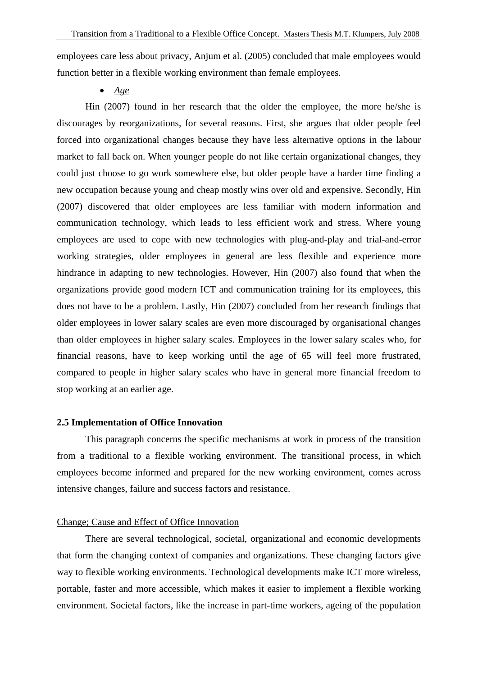<span id="page-18-0"></span>employees care less about privacy, Anjum et al. (2005) concluded that male employees would function better in a flexible working environment than female employees.

### • *Age*

Hin (2007) found in her research that the older the employee, the more he/she is discourages by reorganizations, for several reasons. First, she argues that older people feel forced into organizational changes because they have less alternative options in the labour market to fall back on. When younger people do not like certain organizational changes, they could just choose to go work somewhere else, but older people have a harder time finding a new occupation because young and cheap mostly wins over old and expensive. Secondly, Hin (2007) discovered that older employees are less familiar with modern information and communication technology, which leads to less efficient work and stress. Where young employees are used to cope with new technologies with plug-and-play and trial-and-error working strategies, older employees in general are less flexible and experience more hindrance in adapting to new technologies. However, Hin (2007) also found that when the organizations provide good modern ICT and communication training for its employees, this does not have to be a problem. Lastly, Hin (2007) concluded from her research findings that older employees in lower salary scales are even more discouraged by organisational changes than older employees in higher salary scales. Employees in the lower salary scales who, for financial reasons, have to keep working until the age of 65 will feel more frustrated, compared to people in higher salary scales who have in general more financial freedom to stop working at an earlier age.

#### **2.5 Implementation of Office Innovation**

This paragraph concerns the specific mechanisms at work in process of the transition from a traditional to a flexible working environment. The transitional process, in which employees become informed and prepared for the new working environment, comes across intensive changes, failure and success factors and resistance.

## Change; Cause and Effect of Office Innovation

There are several technological, societal, organizational and economic developments that form the changing context of companies and organizations. These changing factors give way to flexible working environments. Technological developments make ICT more wireless, portable, faster and more accessible, which makes it easier to implement a flexible working environment. Societal factors, like the increase in part-time workers, ageing of the population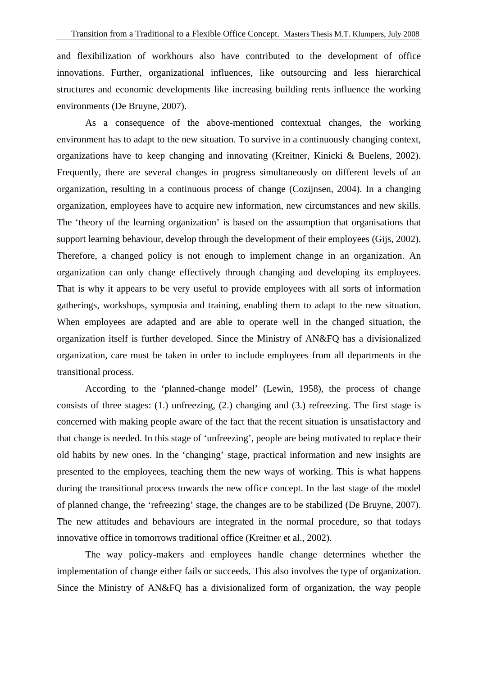and flexibilization of workhours also have contributed to the development of office innovations. Further, organizational influences, like outsourcing and less hierarchical structures and economic developments like increasing building rents influence the working environments (De Bruyne, 2007).

 As a consequence of the above-mentioned contextual changes, the working environment has to adapt to the new situation. To survive in a continuously changing context, organizations have to keep changing and innovating (Kreitner, Kinicki & Buelens, 2002). Frequently, there are several changes in progress simultaneously on different levels of an organization, resulting in a continuous process of change (Cozijnsen, 2004). In a changing organization, employees have to acquire new information, new circumstances and new skills. The 'theory of the learning organization' is based on the assumption that organisations that support learning behaviour, develop through the development of their employees (Gijs, 2002). Therefore, a changed policy is not enough to implement change in an organization. An organization can only change effectively through changing and developing its employees. That is why it appears to be very useful to provide employees with all sorts of information gatherings, workshops, symposia and training, enabling them to adapt to the new situation. When employees are adapted and are able to operate well in the changed situation, the organization itself is further developed. Since the Ministry of AN&FQ has a divisionalized organization, care must be taken in order to include employees from all departments in the transitional process.

 According to the 'planned-change model' (Lewin, 1958), the process of change consists of three stages: (1.) unfreezing, (2.) changing and (3.) refreezing. The first stage is concerned with making people aware of the fact that the recent situation is unsatisfactory and that change is needed. In this stage of 'unfreezing', people are being motivated to replace their old habits by new ones. In the 'changing' stage, practical information and new insights are presented to the employees, teaching them the new ways of working. This is what happens during the transitional process towards the new office concept. In the last stage of the model of planned change, the 'refreezing' stage, the changes are to be stabilized (De Bruyne, 2007). The new attitudes and behaviours are integrated in the normal procedure, so that todays innovative office in tomorrows traditional office (Kreitner et al., 2002).

 The way policy-makers and employees handle change determines whether the implementation of change either fails or succeeds. This also involves the type of organization. Since the Ministry of AN&FQ has a divisionalized form of organization, the way people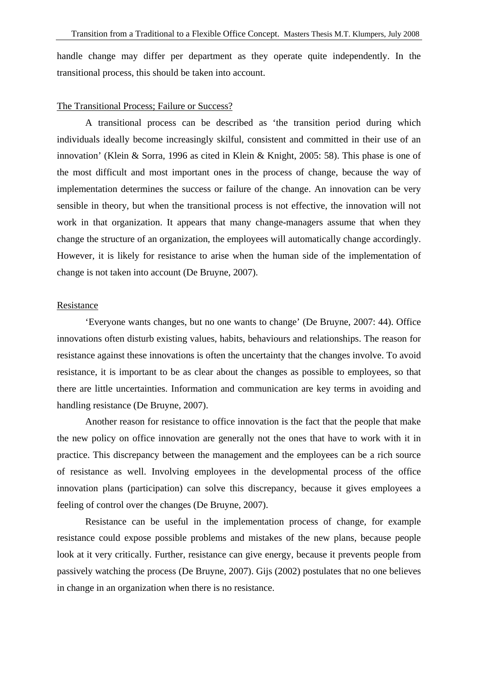handle change may differ per department as they operate quite independently. In the transitional process, this should be taken into account.

#### The Transitional Process; Failure or Success?

A transitional process can be described as 'the transition period during which individuals ideally become increasingly skilful, consistent and committed in their use of an innovation' (Klein & Sorra, 1996 as cited in Klein & Knight, 2005: 58). This phase is one of the most difficult and most important ones in the process of change, because the way of implementation determines the success or failure of the change. An innovation can be very sensible in theory, but when the transitional process is not effective, the innovation will not work in that organization. It appears that many change-managers assume that when they change the structure of an organization, the employees will automatically change accordingly. However, it is likely for resistance to arise when the human side of the implementation of change is not taken into account (De Bruyne, 2007).

#### Resistance

 'Everyone wants changes, but no one wants to change' (De Bruyne, 2007: 44). Office innovations often disturb existing values, habits, behaviours and relationships. The reason for resistance against these innovations is often the uncertainty that the changes involve. To avoid resistance, it is important to be as clear about the changes as possible to employees, so that there are little uncertainties. Information and communication are key terms in avoiding and handling resistance (De Bruyne, 2007).

 Another reason for resistance to office innovation is the fact that the people that make the new policy on office innovation are generally not the ones that have to work with it in practice. This discrepancy between the management and the employees can be a rich source of resistance as well. Involving employees in the developmental process of the office innovation plans (participation) can solve this discrepancy, because it gives employees a feeling of control over the changes (De Bruyne, 2007).

 Resistance can be useful in the implementation process of change, for example resistance could expose possible problems and mistakes of the new plans, because people look at it very critically. Further, resistance can give energy, because it prevents people from passively watching the process (De Bruyne, 2007). Gijs (2002) postulates that no one believes in change in an organization when there is no resistance.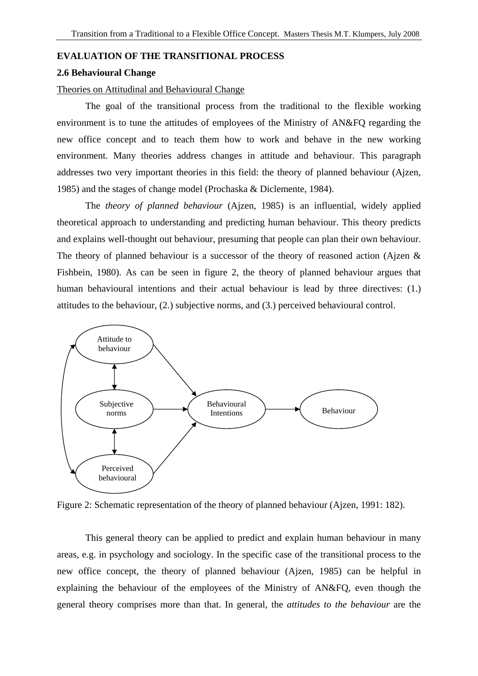#### <span id="page-21-0"></span>**EVALUATION OF THE TRANSITIONAL PROCESS**

#### **2.6 Behavioural Change**

#### Theories on Attitudinal and Behavioural Change

The goal of the transitional process from the traditional to the flexible working environment is to tune the attitudes of employees of the Ministry of AN&FQ regarding the new office concept and to teach them how to work and behave in the new working environment. Many theories address changes in attitude and behaviour. This paragraph addresses two very important theories in this field: the theory of planned behaviour (Ajzen, 1985) and the stages of change model (Prochaska & Diclemente, 1984).

The *theory of planned behaviour* (Ajzen, 1985) is an influential, widely applied theoretical approach to understanding and predicting human behaviour. This theory predicts and explains well-thought out behaviour, presuming that people can plan their own behaviour. The theory of planned behaviour is a successor of the theory of reasoned action (Ajzen & Fishbein, 1980). As can be seen in figure 2, the theory of planned behaviour argues that human behavioural intentions and their actual behaviour is lead by three directives: (1.) attitudes to the behaviour, (2.) subjective norms, and (3.) perceived behavioural control.



Figure 2: Schematic representation of the theory of planned behaviour (Ajzen, 1991: 182).

This general theory can be applied to predict and explain human behaviour in many areas, e.g. in psychology and sociology. In the specific case of the transitional process to the new office concept, the theory of planned behaviour (Ajzen, 1985) can be helpful in explaining the behaviour of the employees of the Ministry of AN&FQ, even though the general theory comprises more than that. In general, the *attitudes to the behaviour* are the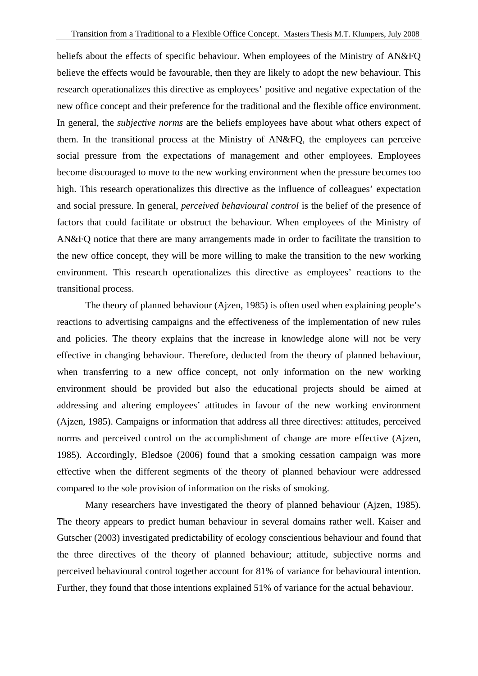beliefs about the effects of specific behaviour. When employees of the Ministry of AN&FQ believe the effects would be favourable, then they are likely to adopt the new behaviour. This research operationalizes this directive as employees' positive and negative expectation of the new office concept and their preference for the traditional and the flexible office environment. In general, the *subjective norms* are the beliefs employees have about what others expect of them. In the transitional process at the Ministry of AN&FQ, the employees can perceive social pressure from the expectations of management and other employees. Employees become discouraged to move to the new working environment when the pressure becomes too high. This research operationalizes this directive as the influence of colleagues' expectation and social pressure. In general, *perceived behavioural control* is the belief of the presence of factors that could facilitate or obstruct the behaviour. When employees of the Ministry of AN&FQ notice that there are many arrangements made in order to facilitate the transition to the new office concept, they will be more willing to make the transition to the new working environment. This research operationalizes this directive as employees' reactions to the transitional process.

The theory of planned behaviour (Ajzen, 1985) is often used when explaining people's reactions to advertising campaigns and the effectiveness of the implementation of new rules and policies. The theory explains that the increase in knowledge alone will not be very effective in changing behaviour. Therefore, deducted from the theory of planned behaviour, when transferring to a new office concept, not only information on the new working environment should be provided but also the educational projects should be aimed at addressing and altering employees' attitudes in favour of the new working environment (Ajzen, 1985). Campaigns or information that address all three directives: attitudes, perceived norms and perceived control on the accomplishment of change are more effective (Ajzen, 1985). Accordingly, Bledsoe (2006) found that a smoking cessation campaign was more effective when the different segments of the theory of planned behaviour were addressed compared to the sole provision of information on the risks of smoking.

Many researchers have investigated the theory of planned behaviour (Ajzen, 1985). The theory appears to predict human behaviour in several domains rather well. Kaiser and Gutscher (2003) investigated predictability of ecology conscientious behaviour and found that the three directives of the theory of planned behaviour; attitude, subjective norms and perceived behavioural control together account for 81% of variance for behavioural intention. Further, they found that those intentions explained 51% of variance for the actual behaviour.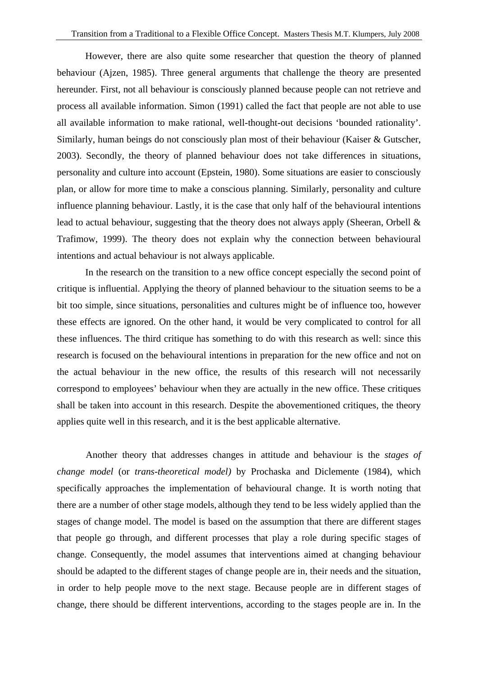However, there are also quite some researcher that question the theory of planned behaviour (Ajzen, 1985). Three general arguments that challenge the theory are presented hereunder. First, not all behaviour is consciously planned because people can not retrieve and process all available information. Simon (1991) called the fact that people are not able to use all available information to make rational, well-thought-out decisions 'bounded rationality'. Similarly, human beings do not consciously plan most of their behaviour (Kaiser & Gutscher, 2003). Secondly, the theory of planned behaviour does not take differences in situations, personality and culture into account (Epstein, 1980). Some situations are easier to consciously plan, or allow for more time to make a conscious planning. Similarly, personality and culture influence planning behaviour. Lastly, it is the case that only half of the behavioural intentions lead to actual behaviour, suggesting that the theory does not always apply (Sheeran, Orbell & Trafimow, 1999). The theory does not explain why the connection between behavioural intentions and actual behaviour is not always applicable.

In the research on the transition to a new office concept especially the second point of critique is influential. Applying the theory of planned behaviour to the situation seems to be a bit too simple, since situations, personalities and cultures might be of influence too, however these effects are ignored. On the other hand, it would be very complicated to control for all these influences. The third critique has something to do with this research as well: since this research is focused on the behavioural intentions in preparation for the new office and not on the actual behaviour in the new office, the results of this research will not necessarily correspond to employees' behaviour when they are actually in the new office. These critiques shall be taken into account in this research. Despite the abovementioned critiques, the theory applies quite well in this research, and it is the best applicable alternative.

Another theory that addresses changes in attitude and behaviour is the *stages of change model* (or *trans-theoretical model)* by Prochaska and Diclemente (1984), which specifically approaches the implementation of behavioural change. It is worth noting that there are a number of other stage models, although they tend to be less widely applied than the stages of change model. The model is based on the assumption that there are different stages that people go through, and different processes that play a role during specific stages of change. Consequently, the model assumes that interventions aimed at changing behaviour should be adapted to the different stages of change people are in, their needs and the situation, in order to help people move to the next stage. Because people are in different stages of change, there should be different interventions, according to the stages people are in. In the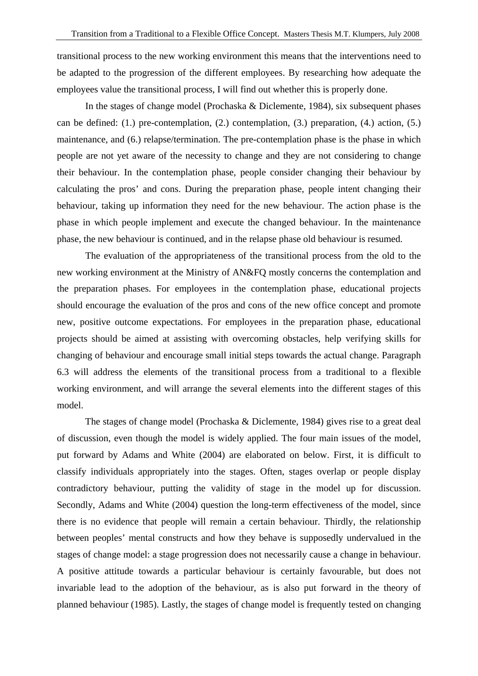transitional process to the new working environment this means that the interventions need to be adapted to the progression of the different employees. By researching how adequate the employees value the transitional process, I will find out whether this is properly done.

In the stages of change model (Prochaska & Diclemente, 1984), six subsequent phases can be defined: (1.) pre-contemplation, (2.) contemplation, (3.) preparation, (4.) action, (5.) maintenance, and (6.) relapse/termination. The pre-contemplation phase is the phase in which people are not yet aware of the necessity to change and they are not considering to change their behaviour. In the contemplation phase, people consider changing their behaviour by calculating the pros' and cons. During the preparation phase, people intent changing their behaviour, taking up information they need for the new behaviour. The action phase is the phase in which people implement and execute the changed behaviour. In the maintenance phase, the new behaviour is continued, and in the relapse phase old behaviour is resumed.

The evaluation of the appropriateness of the transitional process from the old to the new working environment at the Ministry of AN&FQ mostly concerns the contemplation and the preparation phases. For employees in the contemplation phase, educational projects should encourage the evaluation of the pros and cons of the new office concept and promote new, positive outcome expectations. For employees in the preparation phase, educational projects should be aimed at assisting with overcoming obstacles, help verifying skills for changing of behaviour and encourage small initial steps towards the actual change. Paragraph 6.3 will address the elements of the transitional process from a traditional to a flexible working environment, and will arrange the several elements into the different stages of this model.

The stages of change model (Prochaska & Diclemente, 1984) gives rise to a great deal of discussion, even though the model is widely applied. The four main issues of the model, put forward by Adams and White (2004) are elaborated on below. First, it is difficult to classify individuals appropriately into the stages. Often, stages overlap or people display contradictory behaviour, putting the validity of stage in the model up for discussion. Secondly, Adams and White (2004) question the long-term effectiveness of the model, since there is no evidence that people will remain a certain behaviour. Thirdly, the relationship between peoples' mental constructs and how they behave is supposedly undervalued in the stages of change model: a stage progression does not necessarily cause a change in behaviour. A positive attitude towards a particular behaviour is certainly favourable, but does not invariable lead to the adoption of the behaviour, as is also put forward in the theory of planned behaviour (1985). Lastly, the stages of change model is frequently tested on changing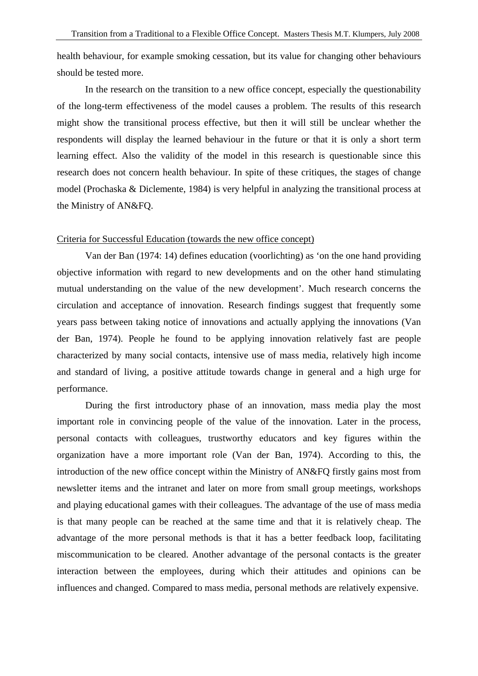health behaviour, for example smoking cessation, but its value for changing other behaviours should be tested more.

In the research on the transition to a new office concept, especially the questionability of the long-term effectiveness of the model causes a problem. The results of this research might show the transitional process effective, but then it will still be unclear whether the respondents will display the learned behaviour in the future or that it is only a short term learning effect. Also the validity of the model in this research is questionable since this research does not concern health behaviour. In spite of these critiques, the stages of change model (Prochaska & Diclemente, 1984) is very helpful in analyzing the transitional process at the Ministry of AN&FQ.

#### Criteria for Successful Education (towards the new office concept)

Van der Ban (1974: 14) defines education (voorlichting) as 'on the one hand providing objective information with regard to new developments and on the other hand stimulating mutual understanding on the value of the new development'. Much research concerns the circulation and acceptance of innovation. Research findings suggest that frequently some years pass between taking notice of innovations and actually applying the innovations (Van der Ban, 1974). People he found to be applying innovation relatively fast are people characterized by many social contacts, intensive use of mass media, relatively high income and standard of living, a positive attitude towards change in general and a high urge for performance.

During the first introductory phase of an innovation, mass media play the most important role in convincing people of the value of the innovation. Later in the process, personal contacts with colleagues, trustworthy educators and key figures within the organization have a more important role (Van der Ban, 1974). According to this, the introduction of the new office concept within the Ministry of AN&FQ firstly gains most from newsletter items and the intranet and later on more from small group meetings, workshops and playing educational games with their colleagues. The advantage of the use of mass media is that many people can be reached at the same time and that it is relatively cheap. The advantage of the more personal methods is that it has a better feedback loop, facilitating miscommunication to be cleared. Another advantage of the personal contacts is the greater interaction between the employees, during which their attitudes and opinions can be influences and changed. Compared to mass media, personal methods are relatively expensive.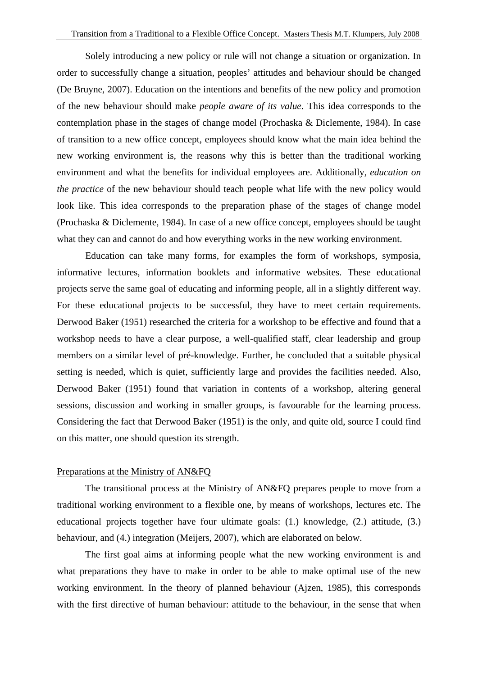Solely introducing a new policy or rule will not change a situation or organization. In order to successfully change a situation, peoples' attitudes and behaviour should be changed (De Bruyne, 2007). Education on the intentions and benefits of the new policy and promotion of the new behaviour should make *people aware of its value*. This idea corresponds to the contemplation phase in the stages of change model (Prochaska & Diclemente, 1984). In case of transition to a new office concept, employees should know what the main idea behind the new working environment is, the reasons why this is better than the traditional working environment and what the benefits for individual employees are. Additionally, *education on the practice* of the new behaviour should teach people what life with the new policy would look like. This idea corresponds to the preparation phase of the stages of change model (Prochaska & Diclemente, 1984). In case of a new office concept, employees should be taught what they can and cannot do and how everything works in the new working environment.

Education can take many forms, for examples the form of workshops, symposia, informative lectures, information booklets and informative websites. These educational projects serve the same goal of educating and informing people, all in a slightly different way. For these educational projects to be successful, they have to meet certain requirements. Derwood Baker (1951) researched the criteria for a workshop to be effective and found that a workshop needs to have a clear purpose, a well-qualified staff, clear leadership and group members on a similar level of pré-knowledge. Further, he concluded that a suitable physical setting is needed, which is quiet, sufficiently large and provides the facilities needed. Also, Derwood Baker (1951) found that variation in contents of a workshop, altering general sessions, discussion and working in smaller groups, is favourable for the learning process. Considering the fact that Derwood Baker (1951) is the only, and quite old, source I could find on this matter, one should question its strength.

## Preparations at the Ministry of AN&FQ

The transitional process at the Ministry of AN&FQ prepares people to move from a traditional working environment to a flexible one, by means of workshops, lectures etc. The educational projects together have four ultimate goals: (1.) knowledge, (2.) attitude, (3.) behaviour, and (4.) integration (Meijers, 2007), which are elaborated on below.

The first goal aims at informing people what the new working environment is and what preparations they have to make in order to be able to make optimal use of the new working environment. In the theory of planned behaviour (Ajzen, 1985), this corresponds with the first directive of human behaviour: attitude to the behaviour, in the sense that when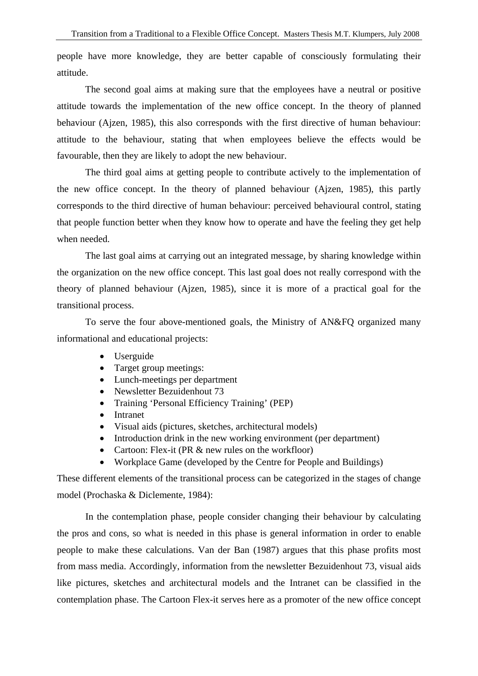people have more knowledge, they are better capable of consciously formulating their attitude.

The second goal aims at making sure that the employees have a neutral or positive attitude towards the implementation of the new office concept. In the theory of planned behaviour (Ajzen, 1985), this also corresponds with the first directive of human behaviour: attitude to the behaviour, stating that when employees believe the effects would be favourable, then they are likely to adopt the new behaviour.

 The third goal aims at getting people to contribute actively to the implementation of the new office concept. In the theory of planned behaviour (Ajzen, 1985), this partly corresponds to the third directive of human behaviour: perceived behavioural control, stating that people function better when they know how to operate and have the feeling they get help when needed.

The last goal aims at carrying out an integrated message, by sharing knowledge within the organization on the new office concept. This last goal does not really correspond with the theory of planned behaviour (Ajzen, 1985), since it is more of a practical goal for the transitional process.

 To serve the four above-mentioned goals, the Ministry of AN&FQ organized many informational and educational projects:

- Userguide
- Target group meetings:
- Lunch-meetings per department
- Newsletter Bezuidenhout 73
- Training 'Personal Efficiency Training' (PEP)
- Intranet
- Visual aids (pictures, sketches, architectural models)
- Introduction drink in the new working environment (per department)
- Cartoon: Flex-it (PR & new rules on the workfloor)
- Workplace Game (developed by the Centre for People and Buildings)

These different elements of the transitional process can be categorized in the stages of change model (Prochaska & Diclemente, 1984):

In the contemplation phase, people consider changing their behaviour by calculating the pros and cons, so what is needed in this phase is general information in order to enable people to make these calculations. Van der Ban (1987) argues that this phase profits most from mass media. Accordingly, information from the newsletter Bezuidenhout 73, visual aids like pictures, sketches and architectural models and the Intranet can be classified in the contemplation phase. The Cartoon Flex-it serves here as a promoter of the new office concept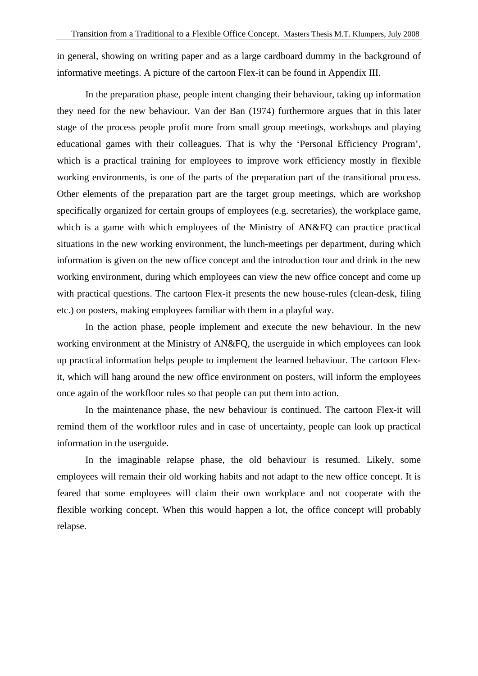in general, showing on writing paper and as a large cardboard dummy in the background of informative meetings. A picture of the cartoon Flex-it can be found in Appendix III.

In the preparation phase, people intent changing their behaviour, taking up information they need for the new behaviour. Van der Ban (1974) furthermore argues that in this later stage of the process people profit more from small group meetings, workshops and playing educational games with their colleagues. That is why the 'Personal Efficiency Program', which is a practical training for employees to improve work efficiency mostly in flexible working environments, is one of the parts of the preparation part of the transitional process. Other elements of the preparation part are the target group meetings, which are workshop specifically organized for certain groups of employees (e.g. secretaries), the workplace game, which is a game with which employees of the Ministry of AN&FQ can practice practical situations in the new working environment, the lunch-meetings per department, during which information is given on the new office concept and the introduction tour and drink in the new working environment, during which employees can view the new office concept and come up with practical questions. The cartoon Flex-it presents the new house-rules (clean-desk, filing etc.) on posters, making employees familiar with them in a playful way.

In the action phase, people implement and execute the new behaviour. In the new working environment at the Ministry of AN&FQ, the userguide in which employees can look up practical information helps people to implement the learned behaviour. The cartoon Flexit, which will hang around the new office environment on posters, will inform the employees once again of the workfloor rules so that people can put them into action.

 In the maintenance phase, the new behaviour is continued. The cartoon Flex-it will remind them of the workfloor rules and in case of uncertainty, people can look up practical information in the userguide.

 In the imaginable relapse phase, the old behaviour is resumed. Likely, some employees will remain their old working habits and not adapt to the new office concept. It is feared that some employees will claim their own workplace and not cooperate with the flexible working concept. When this would happen a lot, the office concept will probably relapse.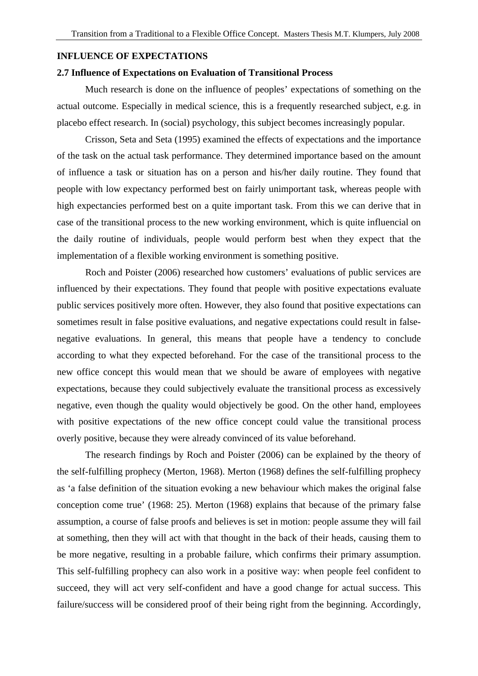#### <span id="page-29-0"></span>**INFLUENCE OF EXPECTATIONS**

#### **2.7 Influence of Expectations on Evaluation of Transitional Process**

Much research is done on the influence of peoples' expectations of something on the actual outcome. Especially in medical science, this is a frequently researched subject, e.g. in placebo effect research. In (social) psychology, this subject becomes increasingly popular.

Crisson, Seta and Seta (1995) examined the effects of expectations and the importance of the task on the actual task performance. They determined importance based on the amount of influence a task or situation has on a person and his/her daily routine. They found that people with low expectancy performed best on fairly unimportant task, whereas people with high expectancies performed best on a quite important task. From this we can derive that in case of the transitional process to the new working environment, which is quite influencial on the daily routine of individuals, people would perform best when they expect that the implementation of a flexible working environment is something positive.

 Roch and Poister (2006) researched how customers' evaluations of public services are influenced by their expectations. They found that people with positive expectations evaluate public services positively more often. However, they also found that positive expectations can sometimes result in false positive evaluations, and negative expectations could result in falsenegative evaluations. In general, this means that people have a tendency to conclude according to what they expected beforehand. For the case of the transitional process to the new office concept this would mean that we should be aware of employees with negative expectations, because they could subjectively evaluate the transitional process as excessively negative, even though the quality would objectively be good. On the other hand, employees with positive expectations of the new office concept could value the transitional process overly positive, because they were already convinced of its value beforehand.

The research findings by Roch and Poister (2006) can be explained by the theory of the self-fulfilling prophecy (Merton, 1968). Merton (1968) defines the self-fulfilling prophecy as 'a false definition of the situation evoking a new behaviour which makes the original false conception come true' (1968: 25). Merton (1968) explains that because of the primary false assumption, a course of false proofs and believes is set in motion: people assume they will fail at something, then they will act with that thought in the back of their heads, causing them to be more negative, resulting in a probable failure, which confirms their primary assumption. This self-fulfilling prophecy can also work in a positive way: when people feel confident to succeed, they will act very self-confident and have a good change for actual success. This failure/success will be considered proof of their being right from the beginning. Accordingly,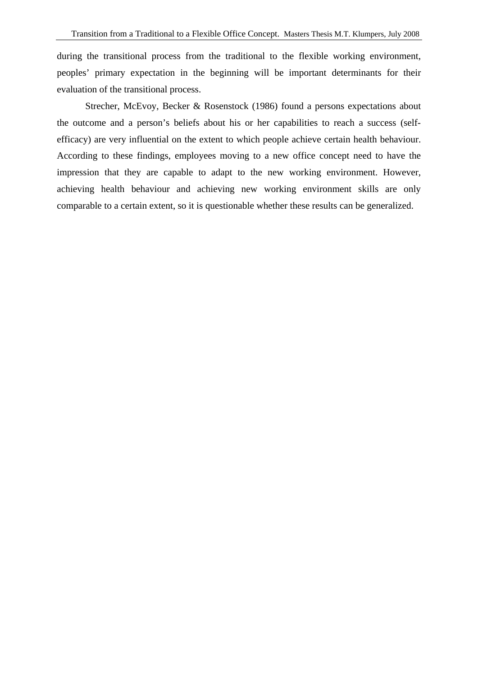during the transitional process from the traditional to the flexible working environment, peoples' primary expectation in the beginning will be important determinants for their evaluation of the transitional process.

Strecher, McEvoy, Becker & Rosenstock (1986) found a persons expectations about the outcome and a person's beliefs about his or her capabilities to reach a success (selfefficacy) are very influential on the extent to which people achieve certain health behaviour. According to these findings, employees moving to a new office concept need to have the impression that they are capable to adapt to the new working environment. However, achieving health behaviour and achieving new working environment skills are only comparable to a certain extent, so it is questionable whether these results can be generalized.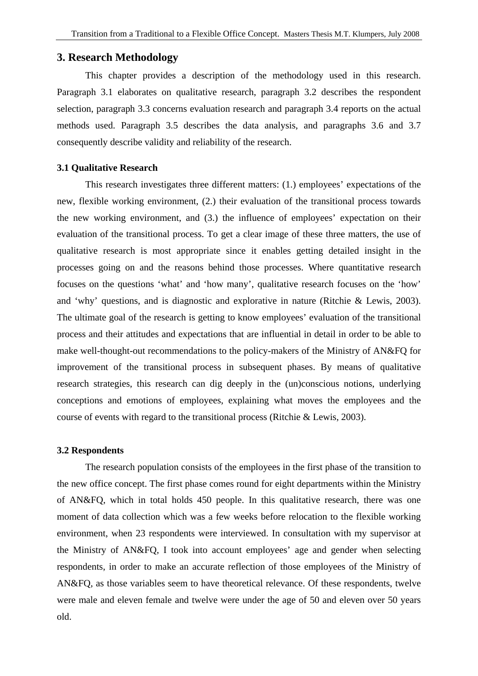## <span id="page-31-0"></span>**3. Research Methodology**

 This chapter provides a description of the methodology used in this research. Paragraph 3.1 elaborates on qualitative research, paragraph 3.2 describes the respondent selection, paragraph 3.3 concerns evaluation research and paragraph 3.4 reports on the actual methods used. Paragraph 3.5 describes the data analysis, and paragraphs 3.6 and 3.7 consequently describe validity and reliability of the research.

#### **3.1 Qualitative Research**

This research investigates three different matters: (1.) employees' expectations of the new, flexible working environment, (2.) their evaluation of the transitional process towards the new working environment, and (3.) the influence of employees' expectation on their evaluation of the transitional process. To get a clear image of these three matters, the use of qualitative research is most appropriate since it enables getting detailed insight in the processes going on and the reasons behind those processes. Where quantitative research focuses on the questions 'what' and 'how many', qualitative research focuses on the 'how' and 'why' questions, and is diagnostic and explorative in nature (Ritchie & Lewis, 2003). The ultimate goal of the research is getting to know employees' evaluation of the transitional process and their attitudes and expectations that are influential in detail in order to be able to make well-thought-out recommendations to the policy-makers of the Ministry of AN&FQ for improvement of the transitional process in subsequent phases. By means of qualitative research strategies, this research can dig deeply in the (un)conscious notions, underlying conceptions and emotions of employees, explaining what moves the employees and the course of events with regard to the transitional process (Ritchie & Lewis, 2003).

#### **3.2 Respondents**

The research population consists of the employees in the first phase of the transition to the new office concept. The first phase comes round for eight departments within the Ministry of AN&FQ, which in total holds 450 people. In this qualitative research, there was one moment of data collection which was a few weeks before relocation to the flexible working environment, when 23 respondents were interviewed. In consultation with my supervisor at the Ministry of AN&FQ, I took into account employees' age and gender when selecting respondents, in order to make an accurate reflection of those employees of the Ministry of AN&FQ, as those variables seem to have theoretical relevance. Of these respondents, twelve were male and eleven female and twelve were under the age of 50 and eleven over 50 years old.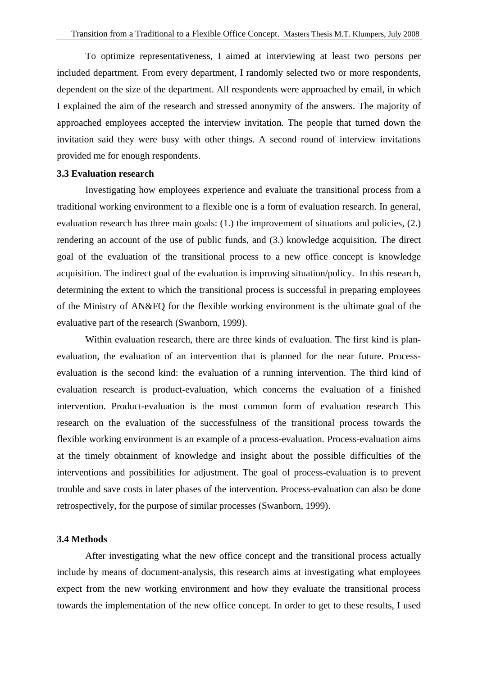<span id="page-32-0"></span>To optimize representativeness, I aimed at interviewing at least two persons per included department. From every department, I randomly selected two or more respondents, dependent on the size of the department. All respondents were approached by email, in which I explained the aim of the research and stressed anonymity of the answers. The majority of approached employees accepted the interview invitation. The people that turned down the invitation said they were busy with other things. A second round of interview invitations provided me for enough respondents.

### **3.3 Evaluation research**

 Investigating how employees experience and evaluate the transitional process from a traditional working environment to a flexible one is a form of evaluation research. In general, evaluation research has three main goals: (1.) the improvement of situations and policies, (2.) rendering an account of the use of public funds, and (3.) knowledge acquisition. The direct goal of the evaluation of the transitional process to a new office concept is knowledge acquisition. The indirect goal of the evaluation is improving situation/policy. In this research, determining the extent to which the transitional process is successful in preparing employees of the Ministry of AN&FQ for the flexible working environment is the ultimate goal of the evaluative part of the research (Swanborn, 1999).

Within evaluation research, there are three kinds of evaluation. The first kind is planevaluation, the evaluation of an intervention that is planned for the near future. Processevaluation is the second kind: the evaluation of a running intervention. The third kind of evaluation research is product-evaluation, which concerns the evaluation of a finished intervention. Product-evaluation is the most common form of evaluation research This research on the evaluation of the successfulness of the transitional process towards the flexible working environment is an example of a process-evaluation. Process-evaluation aims at the timely obtainment of knowledge and insight about the possible difficulties of the interventions and possibilities for adjustment. The goal of process-evaluation is to prevent trouble and save costs in later phases of the intervention. Process-evaluation can also be done retrospectively, for the purpose of similar processes (Swanborn, 1999).

#### **3.4 Methods**

 After investigating what the new office concept and the transitional process actually include by means of document-analysis, this research aims at investigating what employees expect from the new working environment and how they evaluate the transitional process towards the implementation of the new office concept. In order to get to these results, I used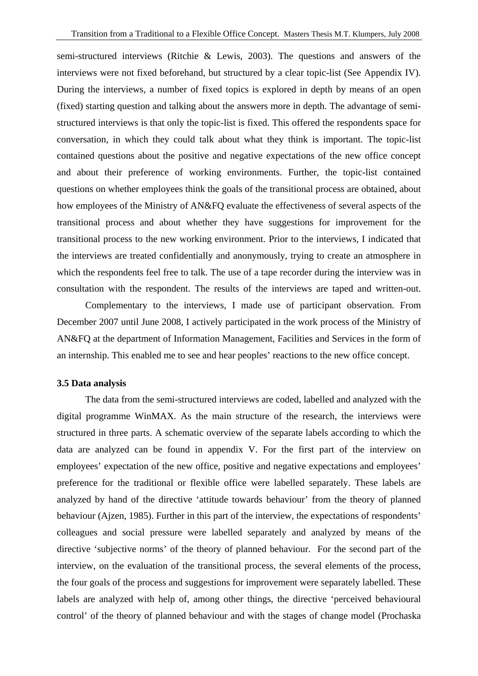<span id="page-33-0"></span>semi-structured interviews (Ritchie & Lewis, 2003). The questions and answers of the interviews were not fixed beforehand, but structured by a clear topic-list (See Appendix IV). During the interviews, a number of fixed topics is explored in depth by means of an open (fixed) starting question and talking about the answers more in depth. The advantage of semistructured interviews is that only the topic-list is fixed. This offered the respondents space for conversation, in which they could talk about what they think is important. The topic-list contained questions about the positive and negative expectations of the new office concept and about their preference of working environments. Further, the topic-list contained questions on whether employees think the goals of the transitional process are obtained, about how employees of the Ministry of AN&FQ evaluate the effectiveness of several aspects of the transitional process and about whether they have suggestions for improvement for the transitional process to the new working environment. Prior to the interviews, I indicated that the interviews are treated confidentially and anonymously, trying to create an atmosphere in which the respondents feel free to talk. The use of a tape recorder during the interview was in consultation with the respondent. The results of the interviews are taped and written-out.

 Complementary to the interviews, I made use of participant observation. From December 2007 until June 2008, I actively participated in the work process of the Ministry of AN&FQ at the department of Information Management, Facilities and Services in the form of an internship. This enabled me to see and hear peoples' reactions to the new office concept.

#### **3.5 Data analysis**

The data from the semi-structured interviews are coded, labelled and analyzed with the digital programme WinMAX. As the main structure of the research, the interviews were structured in three parts. A schematic overview of the separate labels according to which the data are analyzed can be found in appendix V. For the first part of the interview on employees' expectation of the new office, positive and negative expectations and employees' preference for the traditional or flexible office were labelled separately. These labels are analyzed by hand of the directive 'attitude towards behaviour' from the theory of planned behaviour (Ajzen, 1985). Further in this part of the interview, the expectations of respondents' colleagues and social pressure were labelled separately and analyzed by means of the directive 'subjective norms' of the theory of planned behaviour. For the second part of the interview, on the evaluation of the transitional process, the several elements of the process, the four goals of the process and suggestions for improvement were separately labelled. These labels are analyzed with help of, among other things, the directive 'perceived behavioural control' of the theory of planned behaviour and with the stages of change model (Prochaska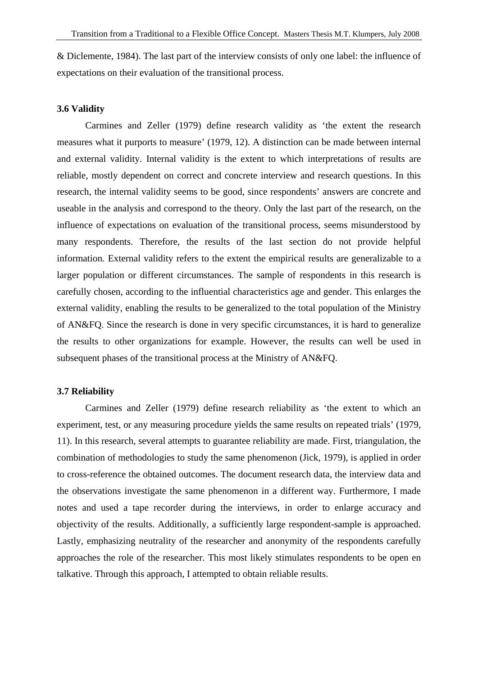<span id="page-34-0"></span>& Diclemente, 1984). The last part of the interview consists of only one label: the influence of expectations on their evaluation of the transitional process.

#### **3.6 Validity**

Carmines and Zeller (1979) define research validity as 'the extent the research measures what it purports to measure' (1979, 12). A distinction can be made between internal and external validity. Internal validity is the extent to which interpretations of results are reliable, mostly dependent on correct and concrete interview and research questions. In this research, the internal validity seems to be good, since respondents' answers are concrete and useable in the analysis and correspond to the theory. Only the last part of the research, on the influence of expectations on evaluation of the transitional process, seems misunderstood by many respondents. Therefore, the results of the last section do not provide helpful information. External validity refers to the extent the empirical results are generalizable to a larger population or different circumstances. The sample of respondents in this research is carefully chosen, according to the influential characteristics age and gender. This enlarges the external validity, enabling the results to be generalized to the total population of the Ministry of AN&FQ. Since the research is done in very specific circumstances, it is hard to generalize the results to other organizations for example. However, the results can well be used in subsequent phases of the transitional process at the Ministry of AN&FQ.

## **3.7 Reliability**

Carmines and Zeller (1979) define research reliability as 'the extent to which an experiment, test, or any measuring procedure yields the same results on repeated trials' (1979, 11). In this research, several attempts to guarantee reliability are made. First, triangulation, the combination of methodologies to study the same phenomenon (Jick, 1979), is applied in order to cross-reference the obtained outcomes. The document research data, the interview data and the observations investigate the same phenomenon in a different way. Furthermore, I made notes and used a tape recorder during the interviews, in order to enlarge accuracy and objectivity of the results. Additionally, a sufficiently large respondent-sample is approached. Lastly, emphasizing neutrality of the researcher and anonymity of the respondents carefully approaches the role of the researcher. This most likely stimulates respondents to be open en talkative. Through this approach, I attempted to obtain reliable results.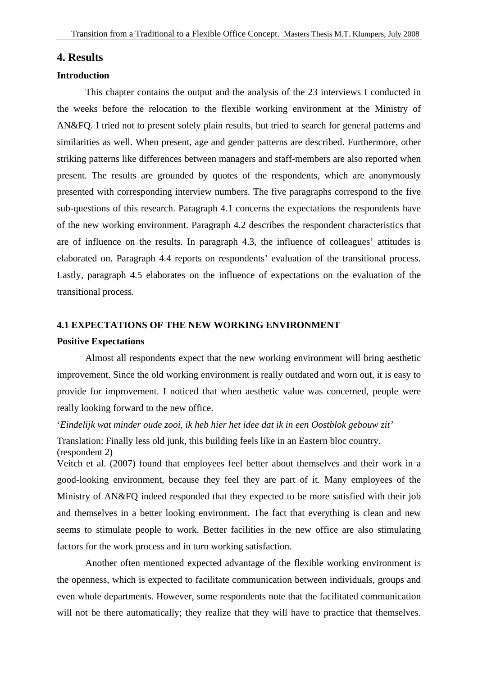## <span id="page-35-0"></span>**4. Results**

## **Introduction**

 This chapter contains the output and the analysis of the 23 interviews I conducted in the weeks before the relocation to the flexible working environment at the Ministry of AN&FQ. I tried not to present solely plain results, but tried to search for general patterns and similarities as well. When present, age and gender patterns are described. Furthermore, other striking patterns like differences between managers and staff-members are also reported when present. The results are grounded by quotes of the respondents, which are anonymously presented with corresponding interview numbers. The five paragraphs correspond to the five sub-questions of this research. Paragraph 4.1 concerns the expectations the respondents have of the new working environment. Paragraph 4.2 describes the respondent characteristics that are of influence on the results. In paragraph 4.3, the influence of colleagues' attitudes is elaborated on. Paragraph 4.4 reports on respondents' evaluation of the transitional process. Lastly, paragraph 4.5 elaborates on the influence of expectations on the evaluation of the transitional process.

#### **4.1 EXPECTATIONS OF THE NEW WORKING ENVIRONMENT**

#### **Positive Expectations**

 Almost all respondents expect that the new working environment will bring aesthetic improvement. Since the old working environment is really outdated and worn out, it is easy to provide for improvement. I noticed that when aesthetic value was concerned, people were really looking forward to the new office.

'*Eindelijk wat minder oude zooi, ik heb hier het idee dat ik in een Oostblok gebouw zit'* Translation: Finally less old junk, this building feels like in an Eastern bloc country. (respondent 2) Veitch et al. (2007) found that employees feel better about themselves and their work in a good-looking environment, because they feel they are part of it. Many employees of the Ministry of AN&FQ indeed responded that they expected to be more satisfied with their job and themselves in a better looking environment. The fact that everything is clean and new seems to stimulate people to work. Better facilities in the new office are also stimulating factors for the work process and in turn working satisfaction.

Another often mentioned expected advantage of the flexible working environment is the openness, which is expected to facilitate communication between individuals, groups and even whole departments. However, some respondents note that the facilitated communication will not be there automatically; they realize that they will have to practice that themselves.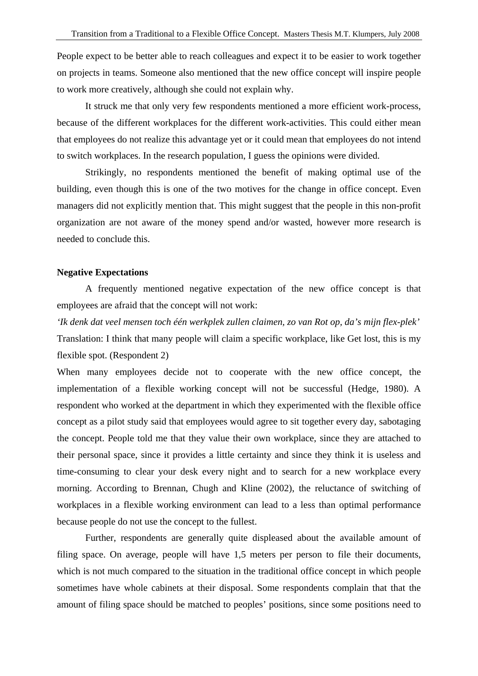People expect to be better able to reach colleagues and expect it to be easier to work together on projects in teams. Someone also mentioned that the new office concept will inspire people to work more creatively, although she could not explain why.

 It struck me that only very few respondents mentioned a more efficient work-process, because of the different workplaces for the different work-activities. This could either mean that employees do not realize this advantage yet or it could mean that employees do not intend to switch workplaces. In the research population, I guess the opinions were divided.

 Strikingly, no respondents mentioned the benefit of making optimal use of the building, even though this is one of the two motives for the change in office concept. Even managers did not explicitly mention that. This might suggest that the people in this non-profit organization are not aware of the money spend and/or wasted, however more research is needed to conclude this.

#### **Negative Expectations**

A frequently mentioned negative expectation of the new office concept is that employees are afraid that the concept will not work:

*'Ik denk dat veel mensen toch één werkplek zullen claimen, zo van Rot op, da's mijn flex-plek'*  Translation: I think that many people will claim a specific workplace, like Get lost, this is my flexible spot. (Respondent 2)

When many employees decide not to cooperate with the new office concept, the implementation of a flexible working concept will not be successful (Hedge, 1980). A respondent who worked at the department in which they experimented with the flexible office concept as a pilot study said that employees would agree to sit together every day, sabotaging the concept. People told me that they value their own workplace, since they are attached to their personal space, since it provides a little certainty and since they think it is useless and time-consuming to clear your desk every night and to search for a new workplace every morning. According to Brennan, Chugh and Kline (2002), the reluctance of switching of workplaces in a flexible working environment can lead to a less than optimal performance because people do not use the concept to the fullest.

 Further, respondents are generally quite displeased about the available amount of filing space. On average, people will have 1,5 meters per person to file their documents, which is not much compared to the situation in the traditional office concept in which people sometimes have whole cabinets at their disposal. Some respondents complain that that the amount of filing space should be matched to peoples' positions, since some positions need to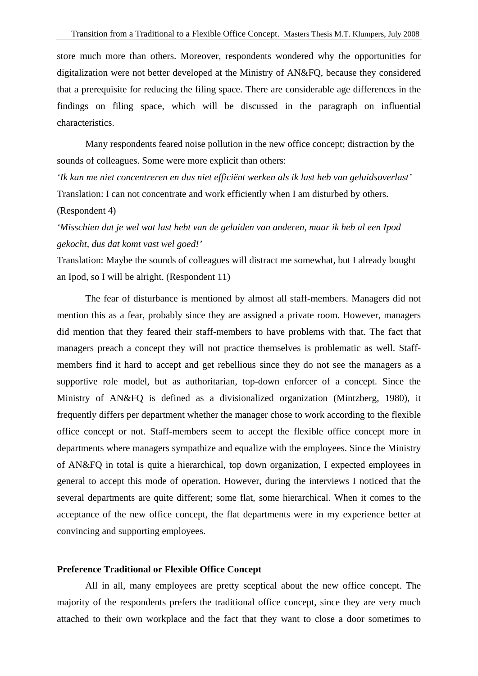store much more than others. Moreover, respondents wondered why the opportunities for digitalization were not better developed at the Ministry of AN&FQ, because they considered that a prerequisite for reducing the filing space. There are considerable age differences in the findings on filing space, which will be discussed in the paragraph on influential characteristics.

 Many respondents feared noise pollution in the new office concept; distraction by the sounds of colleagues. Some were more explicit than others:

*'Ik kan me niet concentreren en dus niet efficiënt werken als ik last heb van geluidsoverlast'*  Translation: I can not concentrate and work efficiently when I am disturbed by others.

### (Respondent 4)

## *'Misschien dat je wel wat last hebt van de geluiden van anderen, maar ik heb al een Ipod gekocht, dus dat komt vast wel goed!'*

Translation: Maybe the sounds of colleagues will distract me somewhat, but I already bought an Ipod, so I will be alright. (Respondent 11)

The fear of disturbance is mentioned by almost all staff-members. Managers did not mention this as a fear, probably since they are assigned a private room. However, managers did mention that they feared their staff-members to have problems with that. The fact that managers preach a concept they will not practice themselves is problematic as well. Staffmembers find it hard to accept and get rebellious since they do not see the managers as a supportive role model, but as authoritarian, top-down enforcer of a concept. Since the Ministry of AN&FQ is defined as a divisionalized organization (Mintzberg, 1980), it frequently differs per department whether the manager chose to work according to the flexible office concept or not. Staff-members seem to accept the flexible office concept more in departments where managers sympathize and equalize with the employees. Since the Ministry of AN&FQ in total is quite a hierarchical, top down organization, I expected employees in general to accept this mode of operation. However, during the interviews I noticed that the several departments are quite different; some flat, some hierarchical. When it comes to the acceptance of the new office concept, the flat departments were in my experience better at convincing and supporting employees.

### **Preference Traditional or Flexible Office Concept**

All in all, many employees are pretty sceptical about the new office concept. The majority of the respondents prefers the traditional office concept, since they are very much attached to their own workplace and the fact that they want to close a door sometimes to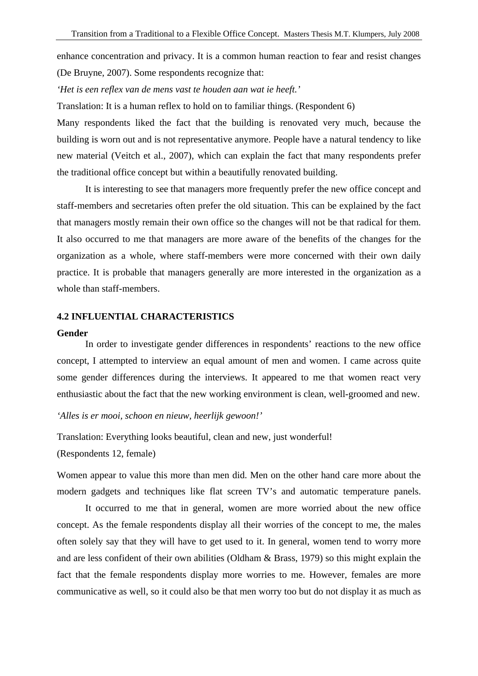<span id="page-38-0"></span>enhance concentration and privacy. It is a common human reaction to fear and resist changes (De Bruyne, 2007). Some respondents recognize that:

*'Het is een reflex van de mens vast te houden aan wat ie heeft.'* 

Translation: It is a human reflex to hold on to familiar things. (Respondent 6)

Many respondents liked the fact that the building is renovated very much, because the building is worn out and is not representative anymore. People have a natural tendency to like new material (Veitch et al., 2007), which can explain the fact that many respondents prefer the traditional office concept but within a beautifully renovated building.

It is interesting to see that managers more frequently prefer the new office concept and staff-members and secretaries often prefer the old situation. This can be explained by the fact that managers mostly remain their own office so the changes will not be that radical for them. It also occurred to me that managers are more aware of the benefits of the changes for the organization as a whole, where staff-members were more concerned with their own daily practice. It is probable that managers generally are more interested in the organization as a whole than staff-members.

### **4.2 INFLUENTIAL CHARACTERISTICS**

#### **Gender**

 In order to investigate gender differences in respondents' reactions to the new office concept, I attempted to interview an equal amount of men and women. I came across quite some gender differences during the interviews. It appeared to me that women react very enthusiastic about the fact that the new working environment is clean, well-groomed and new.

*'Alles is er mooi, schoon en nieuw, heerlijk gewoon!'* 

Translation: Everything looks beautiful, clean and new, just wonderful!

(Respondents 12, female)

Women appear to value this more than men did. Men on the other hand care more about the modern gadgets and techniques like flat screen TV's and automatic temperature panels.

 It occurred to me that in general, women are more worried about the new office concept. As the female respondents display all their worries of the concept to me, the males often solely say that they will have to get used to it. In general, women tend to worry more and are less confident of their own abilities (Oldham & Brass, 1979) so this might explain the fact that the female respondents display more worries to me. However, females are more communicative as well, so it could also be that men worry too but do not display it as much as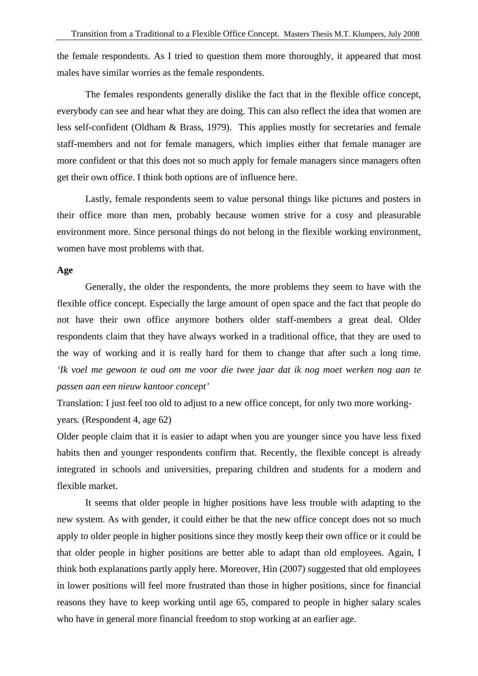the female respondents. As I tried to question them more thoroughly, it appeared that most males have similar worries as the female respondents.

 The females respondents generally dislike the fact that in the flexible office concept, everybody can see and hear what they are doing. This can also reflect the idea that women are less self-confident (Oldham & Brass, 1979). This applies mostly for secretaries and female staff-members and not for female managers, which implies either that female manager are more confident or that this does not so much apply for female managers since managers often get their own office. I think both options are of influence here.

Lastly, female respondents seem to value personal things like pictures and posters in their office more than men, probably because women strive for a cosy and pleasurable environment more. Since personal things do not belong in the flexible working environment, women have most problems with that.

#### **Age**

Generally, the older the respondents, the more problems they seem to have with the flexible office concept. Especially the large amount of open space and the fact that people do not have their own office anymore bothers older staff-members a great deal. Older respondents claim that they have always worked in a traditional office, that they are used to the way of working and it is really hard for them to change that after such a long time. *'Ik voel me gewoon te oud om me voor die twee jaar dat ik nog moet werken nog aan te passen aan een nieuw kantoor concept'* 

Translation: I just feel too old to adjust to a new office concept, for only two more workingyears. (Respondent 4, age 62)

Older people claim that it is easier to adapt when you are younger since you have less fixed habits then and younger respondents confirm that. Recently, the flexible concept is already integrated in schools and universities, preparing children and students for a modern and flexible market.

It seems that older people in higher positions have less trouble with adapting to the new system. As with gender, it could either be that the new office concept does not so much apply to older people in higher positions since they mostly keep their own office or it could be that older people in higher positions are better able to adapt than old employees. Again, I think both explanations partly apply here. Moreover, Hin (2007) suggested that old employees in lower positions will feel more frustrated than those in higher positions, since for financial reasons they have to keep working until age 65, compared to people in higher salary scales who have in general more financial freedom to stop working at an earlier age.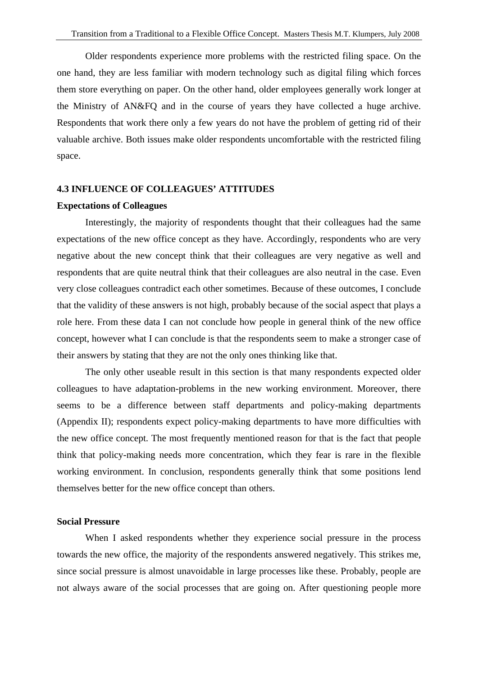<span id="page-40-0"></span>Older respondents experience more problems with the restricted filing space. On the one hand, they are less familiar with modern technology such as digital filing which forces them store everything on paper. On the other hand, older employees generally work longer at the Ministry of AN&FQ and in the course of years they have collected a huge archive. Respondents that work there only a few years do not have the problem of getting rid of their valuable archive. Both issues make older respondents uncomfortable with the restricted filing space.

### **4.3 INFLUENCE OF COLLEAGUES' ATTITUDES**

#### **Expectations of Colleagues**

Interestingly, the majority of respondents thought that their colleagues had the same expectations of the new office concept as they have. Accordingly, respondents who are very negative about the new concept think that their colleagues are very negative as well and respondents that are quite neutral think that their colleagues are also neutral in the case. Even very close colleagues contradict each other sometimes. Because of these outcomes, I conclude that the validity of these answers is not high, probably because of the social aspect that plays a role here. From these data I can not conclude how people in general think of the new office concept, however what I can conclude is that the respondents seem to make a stronger case of their answers by stating that they are not the only ones thinking like that.

The only other useable result in this section is that many respondents expected older colleagues to have adaptation-problems in the new working environment. Moreover, there seems to be a difference between staff departments and policy-making departments (Appendix II); respondents expect policy-making departments to have more difficulties with the new office concept. The most frequently mentioned reason for that is the fact that people think that policy-making needs more concentration, which they fear is rare in the flexible working environment. In conclusion, respondents generally think that some positions lend themselves better for the new office concept than others.

#### **Social Pressure**

When I asked respondents whether they experience social pressure in the process towards the new office, the majority of the respondents answered negatively. This strikes me, since social pressure is almost unavoidable in large processes like these. Probably, people are not always aware of the social processes that are going on. After questioning people more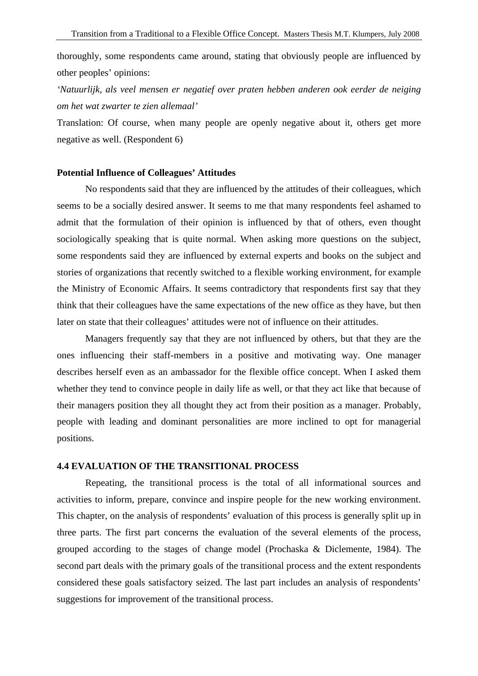<span id="page-41-0"></span>thoroughly, some respondents came around, stating that obviously people are influenced by other peoples' opinions:

*'Natuurlijk, als veel mensen er negatief over praten hebben anderen ook eerder de neiging om het wat zwarter te zien allemaal'* 

Translation: Of course, when many people are openly negative about it, others get more negative as well. (Respondent 6)

## **Potential Influence of Colleagues' Attitudes**

No respondents said that they are influenced by the attitudes of their colleagues, which seems to be a socially desired answer. It seems to me that many respondents feel ashamed to admit that the formulation of their opinion is influenced by that of others, even thought sociologically speaking that is quite normal. When asking more questions on the subject, some respondents said they are influenced by external experts and books on the subject and stories of organizations that recently switched to a flexible working environment, for example the Ministry of Economic Affairs. It seems contradictory that respondents first say that they think that their colleagues have the same expectations of the new office as they have, but then later on state that their colleagues' attitudes were not of influence on their attitudes.

Managers frequently say that they are not influenced by others, but that they are the ones influencing their staff-members in a positive and motivating way. One manager describes herself even as an ambassador for the flexible office concept. When I asked them whether they tend to convince people in daily life as well, or that they act like that because of their managers position they all thought they act from their position as a manager. Probably, people with leading and dominant personalities are more inclined to opt for managerial positions.

#### **4.4 EVALUATION OF THE TRANSITIONAL PROCESS**

 Repeating, the transitional process is the total of all informational sources and activities to inform, prepare, convince and inspire people for the new working environment. This chapter, on the analysis of respondents' evaluation of this process is generally split up in three parts. The first part concerns the evaluation of the several elements of the process, grouped according to the stages of change model (Prochaska & Diclemente, 1984). The second part deals with the primary goals of the transitional process and the extent respondents considered these goals satisfactory seized. The last part includes an analysis of respondents' suggestions for improvement of the transitional process.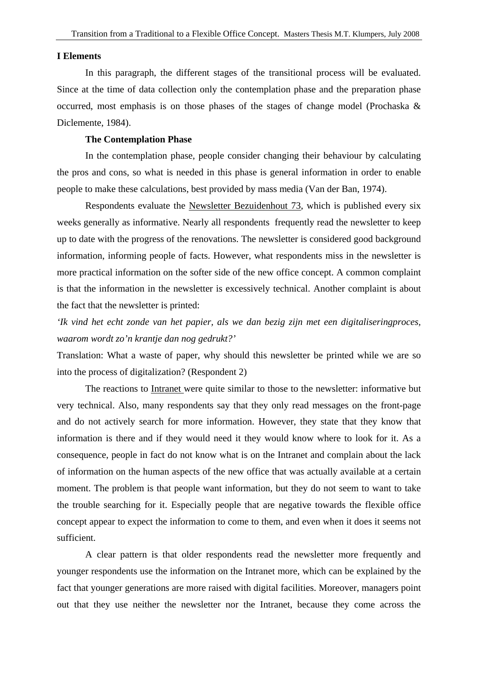#### **I Elements**

 In this paragraph, the different stages of the transitional process will be evaluated. Since at the time of data collection only the contemplation phase and the preparation phase occurred, most emphasis is on those phases of the stages of change model (Prochaska & Diclemente, 1984).

#### **The Contemplation Phase**

In the contemplation phase, people consider changing their behaviour by calculating the pros and cons, so what is needed in this phase is general information in order to enable people to make these calculations, best provided by mass media (Van der Ban, 1974).

Respondents evaluate the Newsletter Bezuidenhout 73, which is published every six weeks generally as informative. Nearly all respondents frequently read the newsletter to keep up to date with the progress of the renovations. The newsletter is considered good background information, informing people of facts. However, what respondents miss in the newsletter is more practical information on the softer side of the new office concept. A common complaint is that the information in the newsletter is excessively technical. Another complaint is about the fact that the newsletter is printed:

*'Ik vind het echt zonde van het papier, als we dan bezig zijn met een digitaliseringproces, waarom wordt zo'n krantje dan nog gedrukt?'* 

Translation: What a waste of paper, why should this newsletter be printed while we are so into the process of digitalization? (Respondent 2)

 The reactions to Intranet were quite similar to those to the newsletter: informative but very technical. Also, many respondents say that they only read messages on the front-page and do not actively search for more information. However, they state that they know that information is there and if they would need it they would know where to look for it. As a consequence, people in fact do not know what is on the Intranet and complain about the lack of information on the human aspects of the new office that was actually available at a certain moment. The problem is that people want information, but they do not seem to want to take the trouble searching for it. Especially people that are negative towards the flexible office concept appear to expect the information to come to them, and even when it does it seems not sufficient.

A clear pattern is that older respondents read the newsletter more frequently and younger respondents use the information on the Intranet more, which can be explained by the fact that younger generations are more raised with digital facilities. Moreover, managers point out that they use neither the newsletter nor the Intranet, because they come across the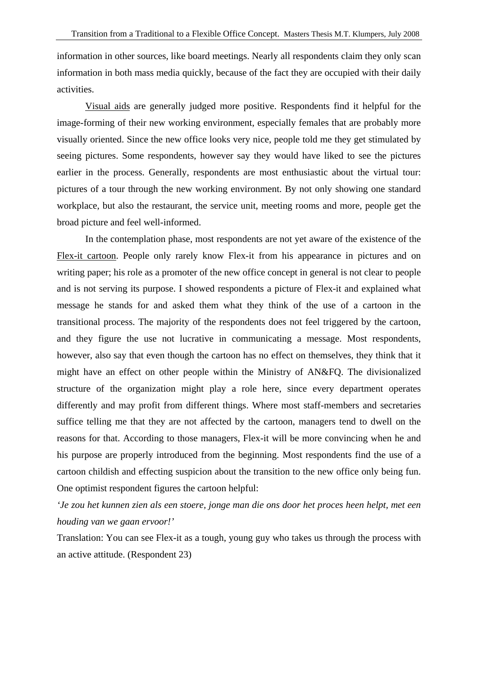information in other sources, like board meetings. Nearly all respondents claim they only scan information in both mass media quickly, because of the fact they are occupied with their daily activities.

Visual aids are generally judged more positive. Respondents find it helpful for the image-forming of their new working environment, especially females that are probably more visually oriented. Since the new office looks very nice, people told me they get stimulated by seeing pictures. Some respondents, however say they would have liked to see the pictures earlier in the process. Generally, respondents are most enthusiastic about the virtual tour: pictures of a tour through the new working environment. By not only showing one standard workplace, but also the restaurant, the service unit, meeting rooms and more, people get the broad picture and feel well-informed.

 In the contemplation phase, most respondents are not yet aware of the existence of the Flex-it cartoon. People only rarely know Flex-it from his appearance in pictures and on writing paper; his role as a promoter of the new office concept in general is not clear to people and is not serving its purpose. I showed respondents a picture of Flex-it and explained what message he stands for and asked them what they think of the use of a cartoon in the transitional process. The majority of the respondents does not feel triggered by the cartoon, and they figure the use not lucrative in communicating a message. Most respondents, however, also say that even though the cartoon has no effect on themselves, they think that it might have an effect on other people within the Ministry of AN&FQ. The divisionalized structure of the organization might play a role here, since every department operates differently and may profit from different things. Where most staff-members and secretaries suffice telling me that they are not affected by the cartoon, managers tend to dwell on the reasons for that. According to those managers, Flex-it will be more convincing when he and his purpose are properly introduced from the beginning. Most respondents find the use of a cartoon childish and effecting suspicion about the transition to the new office only being fun. One optimist respondent figures the cartoon helpful:

*'Je zou het kunnen zien als een stoere, jonge man die ons door het proces heen helpt, met een houding van we gaan ervoor!'* 

Translation: You can see Flex-it as a tough, young guy who takes us through the process with an active attitude. (Respondent 23)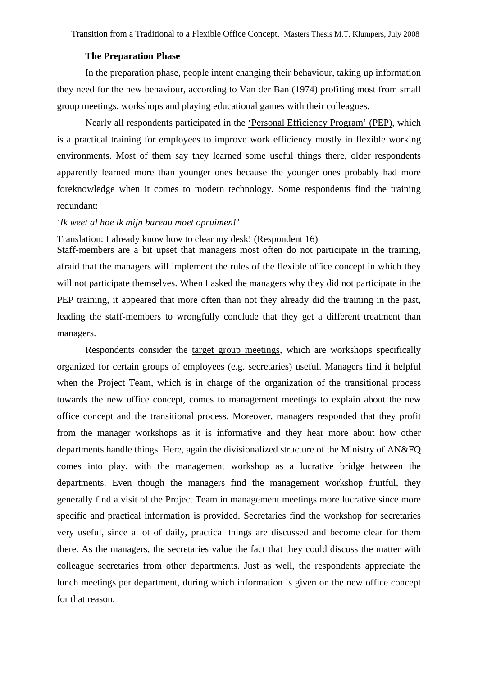#### **The Preparation Phase**

 In the preparation phase, people intent changing their behaviour, taking up information they need for the new behaviour, according to Van der Ban (1974) profiting most from small group meetings, workshops and playing educational games with their colleagues.

Nearly all respondents participated in the 'Personal Efficiency Program' (PEP), which is a practical training for employees to improve work efficiency mostly in flexible working environments. Most of them say they learned some useful things there, older respondents apparently learned more than younger ones because the younger ones probably had more foreknowledge when it comes to modern technology. Some respondents find the training redundant:

#### *'Ik weet al hoe ik mijn bureau moet opruimen!'*

Translation: I already know how to clear my desk! (Respondent 16)

Staff-members are a bit upset that managers most often do not participate in the training, afraid that the managers will implement the rules of the flexible office concept in which they will not participate themselves. When I asked the managers why they did not participate in the PEP training, it appeared that more often than not they already did the training in the past, leading the staff-members to wrongfully conclude that they get a different treatment than managers.

Respondents consider the target group meetings, which are workshops specifically organized for certain groups of employees (e.g. secretaries) useful. Managers find it helpful when the Project Team, which is in charge of the organization of the transitional process towards the new office concept, comes to management meetings to explain about the new office concept and the transitional process. Moreover, managers responded that they profit from the manager workshops as it is informative and they hear more about how other departments handle things. Here, again the divisionalized structure of the Ministry of AN&FQ comes into play, with the management workshop as a lucrative bridge between the departments. Even though the managers find the management workshop fruitful, they generally find a visit of the Project Team in management meetings more lucrative since more specific and practical information is provided. Secretaries find the workshop for secretaries very useful, since a lot of daily, practical things are discussed and become clear for them there. As the managers, the secretaries value the fact that they could discuss the matter with colleague secretaries from other departments. Just as well, the respondents appreciate the lunch meetings per department, during which information is given on the new office concept for that reason.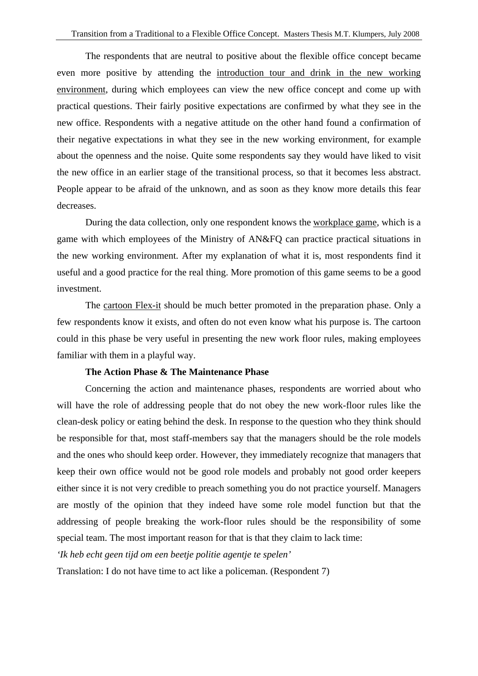The respondents that are neutral to positive about the flexible office concept became even more positive by attending the introduction tour and drink in the new working environment, during which employees can view the new office concept and come up with practical questions. Their fairly positive expectations are confirmed by what they see in the new office. Respondents with a negative attitude on the other hand found a confirmation of their negative expectations in what they see in the new working environment, for example about the openness and the noise. Quite some respondents say they would have liked to visit the new office in an earlier stage of the transitional process, so that it becomes less abstract. People appear to be afraid of the unknown, and as soon as they know more details this fear decreases.

During the data collection, only one respondent knows the workplace game, which is a game with which employees of the Ministry of AN&FQ can practice practical situations in the new working environment. After my explanation of what it is, most respondents find it useful and a good practice for the real thing. More promotion of this game seems to be a good investment.

The cartoon Flex-it should be much better promoted in the preparation phase. Only a few respondents know it exists, and often do not even know what his purpose is. The cartoon could in this phase be very useful in presenting the new work floor rules, making employees familiar with them in a playful way.

#### **The Action Phase & The Maintenance Phase**

 Concerning the action and maintenance phases, respondents are worried about who will have the role of addressing people that do not obey the new work-floor rules like the clean-desk policy or eating behind the desk. In response to the question who they think should be responsible for that, most staff-members say that the managers should be the role models and the ones who should keep order. However, they immediately recognize that managers that keep their own office would not be good role models and probably not good order keepers either since it is not very credible to preach something you do not practice yourself. Managers are mostly of the opinion that they indeed have some role model function but that the addressing of people breaking the work-floor rules should be the responsibility of some special team. The most important reason for that is that they claim to lack time:

*'Ik heb echt geen tijd om een beetje politie agentje te spelen'* 

Translation: I do not have time to act like a policeman. (Respondent 7)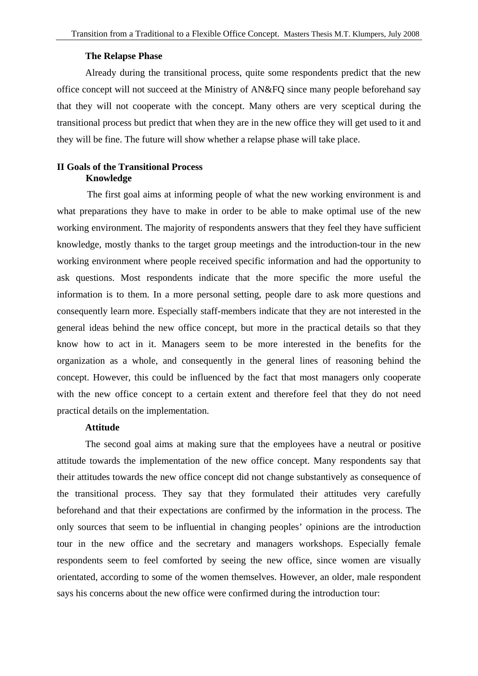#### **The Relapse Phase**

Already during the transitional process, quite some respondents predict that the new office concept will not succeed at the Ministry of AN&FQ since many people beforehand say that they will not cooperate with the concept. Many others are very sceptical during the transitional process but predict that when they are in the new office they will get used to it and they will be fine. The future will show whether a relapse phase will take place.

## **II Goals of the Transitional Process Knowledge**

 The first goal aims at informing people of what the new working environment is and what preparations they have to make in order to be able to make optimal use of the new working environment. The majority of respondents answers that they feel they have sufficient knowledge, mostly thanks to the target group meetings and the introduction-tour in the new working environment where people received specific information and had the opportunity to ask questions. Most respondents indicate that the more specific the more useful the information is to them. In a more personal setting, people dare to ask more questions and consequently learn more. Especially staff-members indicate that they are not interested in the general ideas behind the new office concept, but more in the practical details so that they know how to act in it. Managers seem to be more interested in the benefits for the organization as a whole, and consequently in the general lines of reasoning behind the concept. However, this could be influenced by the fact that most managers only cooperate with the new office concept to a certain extent and therefore feel that they do not need practical details on the implementation.

## **Attitude**

The second goal aims at making sure that the employees have a neutral or positive attitude towards the implementation of the new office concept. Many respondents say that their attitudes towards the new office concept did not change substantively as consequence of the transitional process. They say that they formulated their attitudes very carefully beforehand and that their expectations are confirmed by the information in the process. The only sources that seem to be influential in changing peoples' opinions are the introduction tour in the new office and the secretary and managers workshops. Especially female respondents seem to feel comforted by seeing the new office, since women are visually orientated, according to some of the women themselves. However, an older, male respondent says his concerns about the new office were confirmed during the introduction tour: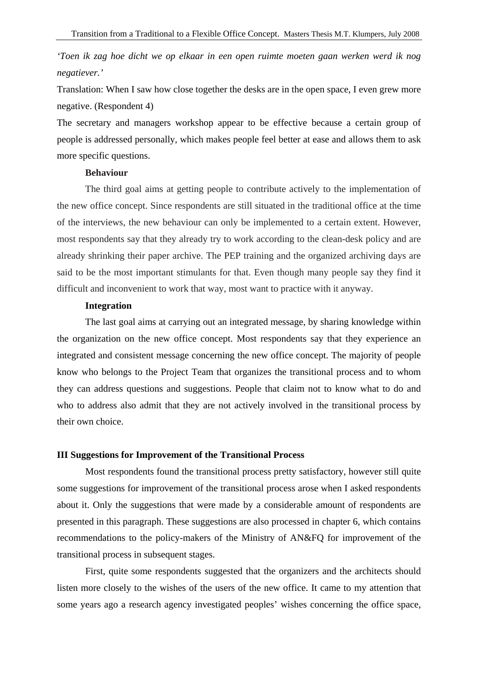*'Toen ik zag hoe dicht we op elkaar in een open ruimte moeten gaan werken werd ik nog negatiever.'* 

Translation: When I saw how close together the desks are in the open space, I even grew more negative. (Respondent 4)

The secretary and managers workshop appear to be effective because a certain group of people is addressed personally, which makes people feel better at ease and allows them to ask more specific questions.

## **Behaviour**

The third goal aims at getting people to contribute actively to the implementation of the new office concept. Since respondents are still situated in the traditional office at the time of the interviews, the new behaviour can only be implemented to a certain extent. However, most respondents say that they already try to work according to the clean-desk policy and are already shrinking their paper archive. The PEP training and the organized archiving days are said to be the most important stimulants for that. Even though many people say they find it difficult and inconvenient to work that way, most want to practice with it anyway.

#### **Integration**

The last goal aims at carrying out an integrated message, by sharing knowledge within the organization on the new office concept. Most respondents say that they experience an integrated and consistent message concerning the new office concept. The majority of people know who belongs to the Project Team that organizes the transitional process and to whom they can address questions and suggestions. People that claim not to know what to do and who to address also admit that they are not actively involved in the transitional process by their own choice.

#### **III Suggestions for Improvement of the Transitional Process**

 Most respondents found the transitional process pretty satisfactory, however still quite some suggestions for improvement of the transitional process arose when I asked respondents about it. Only the suggestions that were made by a considerable amount of respondents are presented in this paragraph. These suggestions are also processed in chapter 6, which contains recommendations to the policy-makers of the Ministry of AN&FQ for improvement of the transitional process in subsequent stages.

First, quite some respondents suggested that the organizers and the architects should listen more closely to the wishes of the users of the new office. It came to my attention that some years ago a research agency investigated peoples' wishes concerning the office space,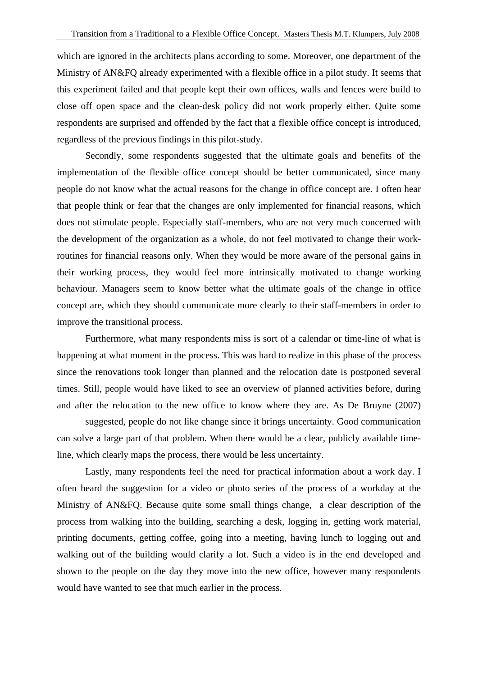which are ignored in the architects plans according to some. Moreover, one department of the Ministry of AN&FQ already experimented with a flexible office in a pilot study. It seems that this experiment failed and that people kept their own offices, walls and fences were build to close off open space and the clean-desk policy did not work properly either. Quite some respondents are surprised and offended by the fact that a flexible office concept is introduced, regardless of the previous findings in this pilot-study.

Secondly, some respondents suggested that the ultimate goals and benefits of the implementation of the flexible office concept should be better communicated, since many people do not know what the actual reasons for the change in office concept are. I often hear that people think or fear that the changes are only implemented for financial reasons, which does not stimulate people. Especially staff-members, who are not very much concerned with the development of the organization as a whole, do not feel motivated to change their workroutines for financial reasons only. When they would be more aware of the personal gains in their working process, they would feel more intrinsically motivated to change working behaviour. Managers seem to know better what the ultimate goals of the change in office concept are, which they should communicate more clearly to their staff-members in order to improve the transitional process.

 Furthermore, what many respondents miss is sort of a calendar or time-line of what is happening at what moment in the process. This was hard to realize in this phase of the process since the renovations took longer than planned and the relocation date is postponed several times. Still, people would have liked to see an overview of planned activities before, during and after the relocation to the new office to know where they are. As De Bruyne (2007)

 suggested, people do not like change since it brings uncertainty. Good communication can solve a large part of that problem. When there would be a clear, publicly available timeline, which clearly maps the process, there would be less uncertainty.

Lastly, many respondents feel the need for practical information about a work day. I often heard the suggestion for a video or photo series of the process of a workday at the Ministry of AN&FQ. Because quite some small things change, a clear description of the process from walking into the building, searching a desk, logging in, getting work material, printing documents, getting coffee, going into a meeting, having lunch to logging out and walking out of the building would clarify a lot. Such a video is in the end developed and shown to the people on the day they move into the new office, however many respondents would have wanted to see that much earlier in the process.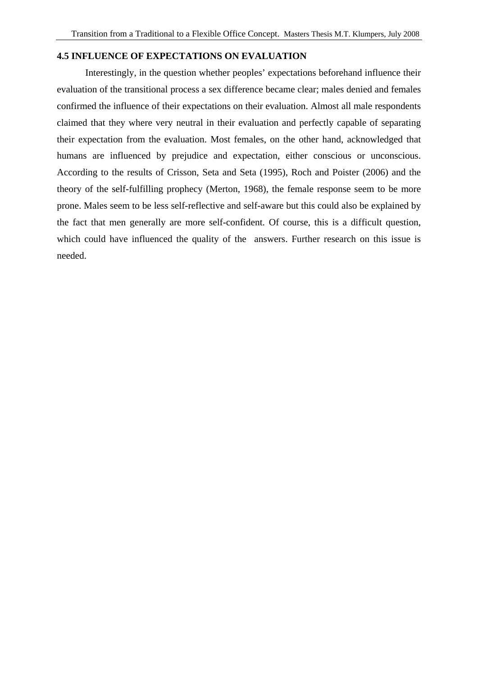## <span id="page-49-0"></span>**4.5 INFLUENCE OF EXPECTATIONS ON EVALUATION**

Interestingly, in the question whether peoples' expectations beforehand influence their evaluation of the transitional process a sex difference became clear; males denied and females confirmed the influence of their expectations on their evaluation. Almost all male respondents claimed that they where very neutral in their evaluation and perfectly capable of separating their expectation from the evaluation. Most females, on the other hand, acknowledged that humans are influenced by prejudice and expectation, either conscious or unconscious. According to the results of Crisson, Seta and Seta (1995), Roch and Poister (2006) and the theory of the self-fulfilling prophecy (Merton, 1968), the female response seem to be more prone. Males seem to be less self-reflective and self-aware but this could also be explained by the fact that men generally are more self-confident. Of course, this is a difficult question, which could have influenced the quality of the answers. Further research on this issue is needed.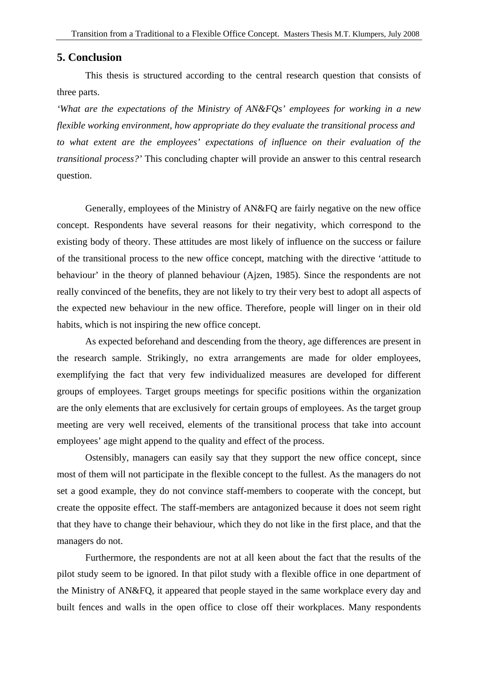## <span id="page-50-0"></span>**5. Conclusion**

This thesis is structured according to the central research question that consists of three parts.

*'What are the expectations of the Ministry of AN&FQs' employees for working in a new flexible working environment, how appropriate do they evaluate the transitional process and to what extent are the employees' expectations of influence on their evaluation of the transitional process?'* This concluding chapter will provide an answer to this central research question.

Generally, employees of the Ministry of AN&FQ are fairly negative on the new office concept. Respondents have several reasons for their negativity, which correspond to the existing body of theory. These attitudes are most likely of influence on the success or failure of the transitional process to the new office concept, matching with the directive 'attitude to behaviour' in the theory of planned behaviour (Ajzen, 1985). Since the respondents are not really convinced of the benefits, they are not likely to try their very best to adopt all aspects of the expected new behaviour in the new office. Therefore, people will linger on in their old habits, which is not inspiring the new office concept.

As expected beforehand and descending from the theory, age differences are present in the research sample. Strikingly, no extra arrangements are made for older employees, exemplifying the fact that very few individualized measures are developed for different groups of employees. Target groups meetings for specific positions within the organization are the only elements that are exclusively for certain groups of employees. As the target group meeting are very well received, elements of the transitional process that take into account employees' age might append to the quality and effect of the process.

Ostensibly, managers can easily say that they support the new office concept, since most of them will not participate in the flexible concept to the fullest. As the managers do not set a good example, they do not convince staff-members to cooperate with the concept, but create the opposite effect. The staff-members are antagonized because it does not seem right that they have to change their behaviour, which they do not like in the first place, and that the managers do not.

Furthermore, the respondents are not at all keen about the fact that the results of the pilot study seem to be ignored. In that pilot study with a flexible office in one department of the Ministry of AN&FQ, it appeared that people stayed in the same workplace every day and built fences and walls in the open office to close off their workplaces. Many respondents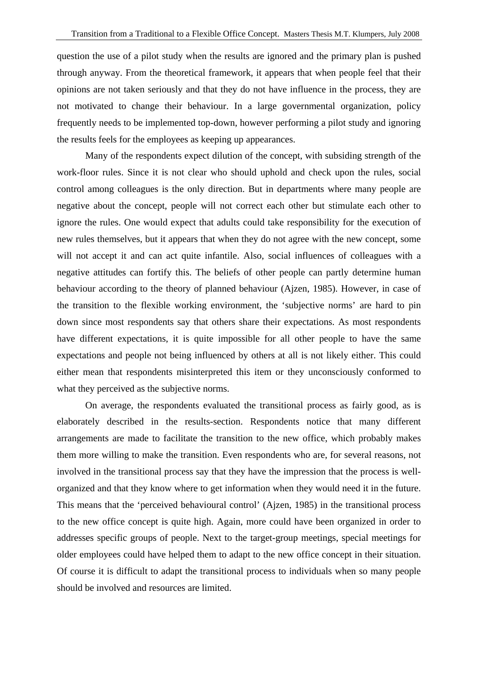question the use of a pilot study when the results are ignored and the primary plan is pushed through anyway. From the theoretical framework, it appears that when people feel that their opinions are not taken seriously and that they do not have influence in the process, they are not motivated to change their behaviour. In a large governmental organization, policy frequently needs to be implemented top-down, however performing a pilot study and ignoring the results feels for the employees as keeping up appearances.

Many of the respondents expect dilution of the concept, with subsiding strength of the work-floor rules. Since it is not clear who should uphold and check upon the rules, social control among colleagues is the only direction. But in departments where many people are negative about the concept, people will not correct each other but stimulate each other to ignore the rules. One would expect that adults could take responsibility for the execution of new rules themselves, but it appears that when they do not agree with the new concept, some will not accept it and can act quite infantile. Also, social influences of colleagues with a negative attitudes can fortify this. The beliefs of other people can partly determine human behaviour according to the theory of planned behaviour (Ajzen, 1985). However, in case of the transition to the flexible working environment, the 'subjective norms' are hard to pin down since most respondents say that others share their expectations. As most respondents have different expectations, it is quite impossible for all other people to have the same expectations and people not being influenced by others at all is not likely either. This could either mean that respondents misinterpreted this item or they unconsciously conformed to what they perceived as the subjective norms.

On average, the respondents evaluated the transitional process as fairly good, as is elaborately described in the results-section. Respondents notice that many different arrangements are made to facilitate the transition to the new office, which probably makes them more willing to make the transition. Even respondents who are, for several reasons, not involved in the transitional process say that they have the impression that the process is wellorganized and that they know where to get information when they would need it in the future. This means that the 'perceived behavioural control' (Ajzen, 1985) in the transitional process to the new office concept is quite high. Again, more could have been organized in order to addresses specific groups of people. Next to the target-group meetings, special meetings for older employees could have helped them to adapt to the new office concept in their situation. Of course it is difficult to adapt the transitional process to individuals when so many people should be involved and resources are limited.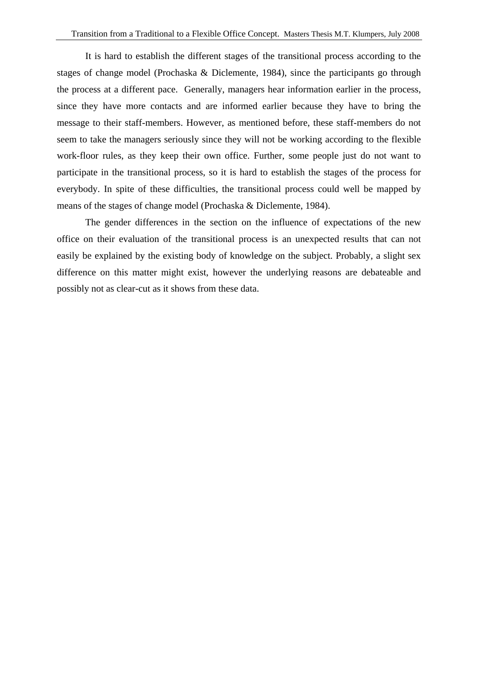It is hard to establish the different stages of the transitional process according to the stages of change model (Prochaska & Diclemente, 1984), since the participants go through the process at a different pace. Generally, managers hear information earlier in the process, since they have more contacts and are informed earlier because they have to bring the message to their staff-members. However, as mentioned before, these staff-members do not seem to take the managers seriously since they will not be working according to the flexible work-floor rules, as they keep their own office. Further, some people just do not want to participate in the transitional process, so it is hard to establish the stages of the process for everybody. In spite of these difficulties, the transitional process could well be mapped by means of the stages of change model (Prochaska & Diclemente, 1984).

 The gender differences in the section on the influence of expectations of the new office on their evaluation of the transitional process is an unexpected results that can not easily be explained by the existing body of knowledge on the subject. Probably, a slight sex difference on this matter might exist, however the underlying reasons are debateable and possibly not as clear-cut as it shows from these data.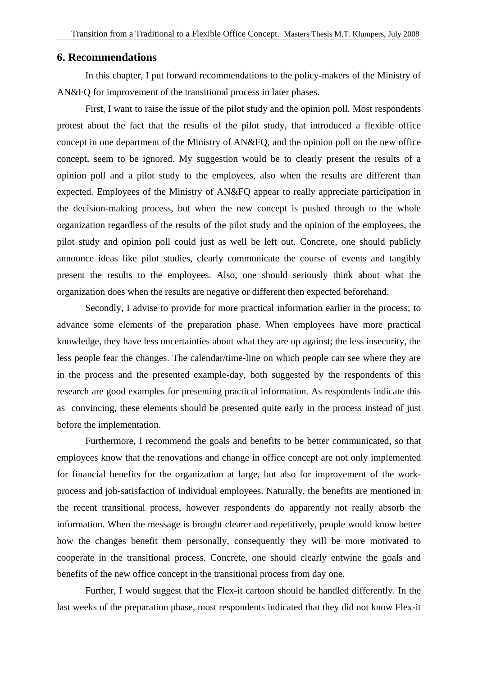## <span id="page-53-0"></span>**6. Recommendations**

In this chapter, I put forward recommendations to the policy-makers of the Ministry of AN&FQ for improvement of the transitional process in later phases.

 First, I want to raise the issue of the pilot study and the opinion poll. Most respondents protest about the fact that the results of the pilot study, that introduced a flexible office concept in one department of the Ministry of AN&FQ, and the opinion poll on the new office concept, seem to be ignored. My suggestion would be to clearly present the results of a opinion poll and a pilot study to the employees, also when the results are different than expected. Employees of the Ministry of AN&FQ appear to really appreciate participation in the decision-making process, but when the new concept is pushed through to the whole organization regardless of the results of the pilot study and the opinion of the employees, the pilot study and opinion poll could just as well be left out. Concrete, one should publicly announce ideas like pilot studies, clearly communicate the course of events and tangibly present the results to the employees. Also, one should seriously think about what the organization does when the results are negative or different then expected beforehand.

 Secondly, I advise to provide for more practical information earlier in the process; to advance some elements of the preparation phase. When employees have more practical knowledge, they have less uncertainties about what they are up against; the less insecurity, the less people fear the changes. The calendar/time-line on which people can see where they are in the process and the presented example-day, both suggested by the respondents of this research are good examples for presenting practical information. As respondents indicate this as convincing, these elements should be presented quite early in the process instead of just before the implementation.

 Furthermore, I recommend the goals and benefits to be better communicated, so that employees know that the renovations and change in office concept are not only implemented for financial benefits for the organization at large, but also for improvement of the workprocess and job-satisfaction of individual employees. Naturally, the benefits are mentioned in the recent transitional process, however respondents do apparently not really absorb the information. When the message is brought clearer and repetitively, people would know better how the changes benefit them personally, consequently they will be more motivated to cooperate in the transitional process. Concrete, one should clearly entwine the goals and benefits of the new office concept in the transitional process from day one.

 Further, I would suggest that the Flex-it cartoon should be handled differently. In the last weeks of the preparation phase, most respondents indicated that they did not know Flex-it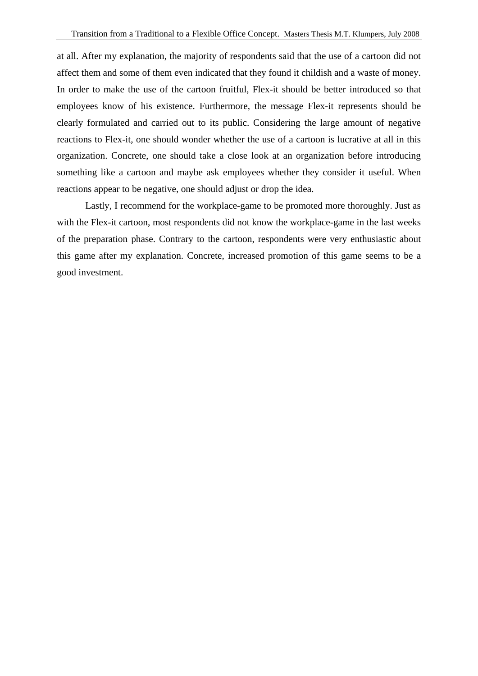at all. After my explanation, the majority of respondents said that the use of a cartoon did not affect them and some of them even indicated that they found it childish and a waste of money. In order to make the use of the cartoon fruitful, Flex-it should be better introduced so that employees know of his existence. Furthermore, the message Flex-it represents should be clearly formulated and carried out to its public. Considering the large amount of negative reactions to Flex-it, one should wonder whether the use of a cartoon is lucrative at all in this organization. Concrete, one should take a close look at an organization before introducing something like a cartoon and maybe ask employees whether they consider it useful. When reactions appear to be negative, one should adjust or drop the idea.

 Lastly, I recommend for the workplace-game to be promoted more thoroughly. Just as with the Flex-it cartoon, most respondents did not know the workplace-game in the last weeks of the preparation phase. Contrary to the cartoon, respondents were very enthusiastic about this game after my explanation. Concrete, increased promotion of this game seems to be a good investment.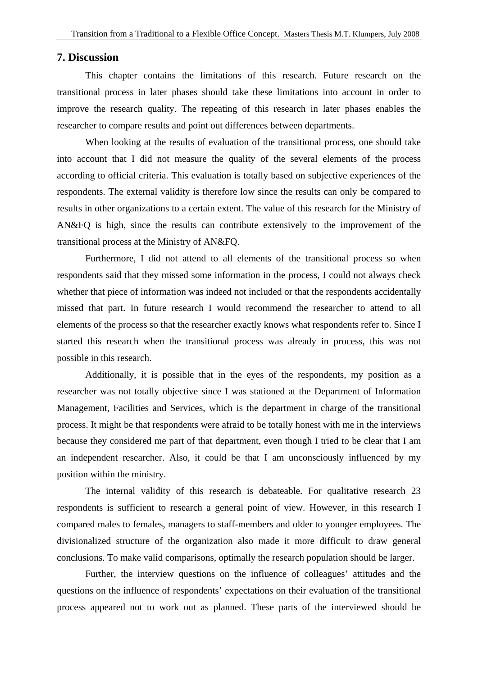## <span id="page-55-0"></span>**7. Discussion**

 This chapter contains the limitations of this research. Future research on the transitional process in later phases should take these limitations into account in order to improve the research quality. The repeating of this research in later phases enables the researcher to compare results and point out differences between departments.

 When looking at the results of evaluation of the transitional process, one should take into account that I did not measure the quality of the several elements of the process according to official criteria. This evaluation is totally based on subjective experiences of the respondents. The external validity is therefore low since the results can only be compared to results in other organizations to a certain extent. The value of this research for the Ministry of AN&FQ is high, since the results can contribute extensively to the improvement of the transitional process at the Ministry of AN&FQ.

 Furthermore, I did not attend to all elements of the transitional process so when respondents said that they missed some information in the process, I could not always check whether that piece of information was indeed not included or that the respondents accidentally missed that part. In future research I would recommend the researcher to attend to all elements of the process so that the researcher exactly knows what respondents refer to. Since I started this research when the transitional process was already in process, this was not possible in this research.

 Additionally, it is possible that in the eyes of the respondents, my position as a researcher was not totally objective since I was stationed at the Department of Information Management, Facilities and Services, which is the department in charge of the transitional process. It might be that respondents were afraid to be totally honest with me in the interviews because they considered me part of that department, even though I tried to be clear that I am an independent researcher. Also, it could be that I am unconsciously influenced by my position within the ministry.

 The internal validity of this research is debateable. For qualitative research 23 respondents is sufficient to research a general point of view. However, in this research I compared males to females, managers to staff-members and older to younger employees. The divisionalized structure of the organization also made it more difficult to draw general conclusions. To make valid comparisons, optimally the research population should be larger.

 Further, the interview questions on the influence of colleagues' attitudes and the questions on the influence of respondents' expectations on their evaluation of the transitional process appeared not to work out as planned. These parts of the interviewed should be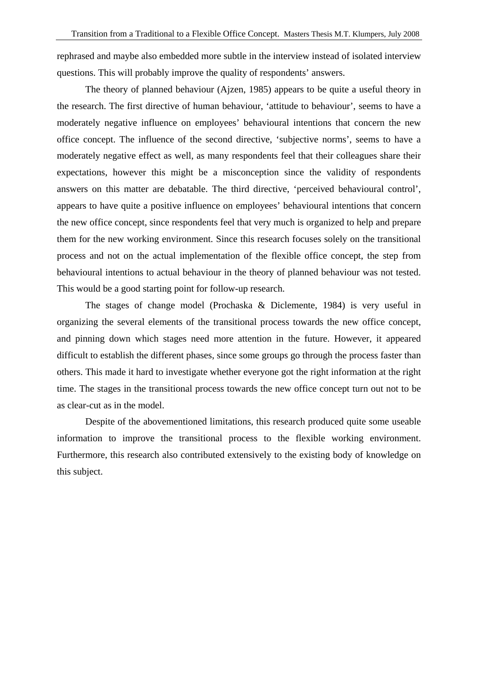rephrased and maybe also embedded more subtle in the interview instead of isolated interview questions. This will probably improve the quality of respondents' answers.

 The theory of planned behaviour (Ajzen, 1985) appears to be quite a useful theory in the research. The first directive of human behaviour, 'attitude to behaviour', seems to have a moderately negative influence on employees' behavioural intentions that concern the new office concept. The influence of the second directive, 'subjective norms', seems to have a moderately negative effect as well, as many respondents feel that their colleagues share their expectations, however this might be a misconception since the validity of respondents answers on this matter are debatable. The third directive, 'perceived behavioural control', appears to have quite a positive influence on employees' behavioural intentions that concern the new office concept, since respondents feel that very much is organized to help and prepare them for the new working environment. Since this research focuses solely on the transitional process and not on the actual implementation of the flexible office concept, the step from behavioural intentions to actual behaviour in the theory of planned behaviour was not tested. This would be a good starting point for follow-up research.

 The stages of change model (Prochaska & Diclemente, 1984) is very useful in organizing the several elements of the transitional process towards the new office concept, and pinning down which stages need more attention in the future. However, it appeared difficult to establish the different phases, since some groups go through the process faster than others. This made it hard to investigate whether everyone got the right information at the right time. The stages in the transitional process towards the new office concept turn out not to be as clear-cut as in the model.

 Despite of the abovementioned limitations, this research produced quite some useable information to improve the transitional process to the flexible working environment. Furthermore, this research also contributed extensively to the existing body of knowledge on this subject.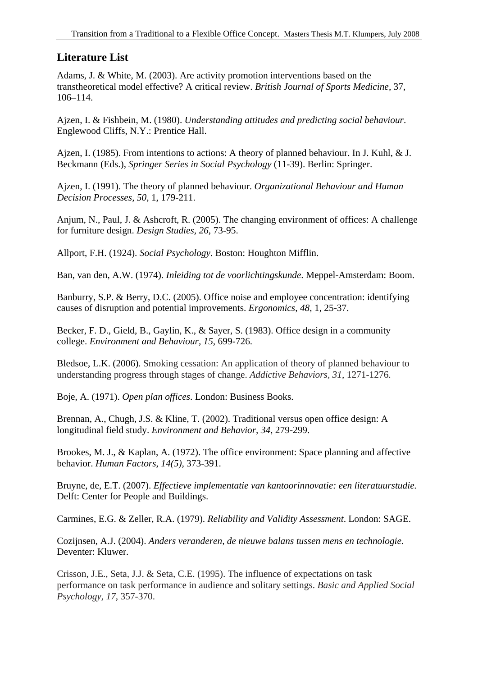## <span id="page-57-0"></span>**Literature List**

Adams, J. & White, M. (2003). Are activity promotion interventions based on the transtheoretical model effective? A critical review. *British Journal of Sports Medicine*, 37, 106–114.

Ajzen, I. & Fishbein, M. (1980). *Understanding attitudes and predicting social behaviour*. Englewood Cliffs, N.Y.: Prentice Hall.

Ajzen, I. (1985). From intentions to actions: A theory of planned behaviour. In J. Kuhl, & J. Beckmann (Eds.), *Springer Series in Social Psychology* (11-39). Berlin: Springer.

Ajzen, I. (1991). The theory of planned behaviour. *Organizational Behaviour and Human Decision Processes, 50*, 1, 179-211.

Anjum, N., Paul, J. & Ashcroft, R. (2005). The changing environment of offices: A challenge for furniture design. *Design Studies, 26*, 73-95.

Allport, F.H. (1924). *Social Psychology*. Boston: Houghton Mifflin.

Ban, van den, A.W. (1974). *Inleiding tot de voorlichtingskunde*. Meppel-Amsterdam: Boom.

Banburry, S.P. & Berry, D.C. (2005). Office noise and employee concentration: identifying causes of disruption and potential improvements. *Ergonomics*, *48*, 1, 25-37.

Becker, F. D., Gield, B., Gaylin, K., & Sayer, S. (1983). Office design in a community college. *Environment and Behaviour, 15*, 699-726.

Bledsoe, L.K. (2006). Smoking cessation: An application of theory of planned behaviour to understanding progress through stages of change. *Addictive Behaviors, 31*, 1271-1276.

Boje, A. (1971). *Open plan offices*. London: Business Books.

Brennan, A., Chugh, J.S. & Kline, T. (2002). Traditional versus open office design: A longitudinal field study. *Environment and Behavior, 34*, 279-299.

Brookes, M. J., & Kaplan, A. (1972). The office environment: Space planning and affective behavior. *Human Factors*, *14(5),* 373-391.

Bruyne, de, E.T. (2007). *Effectieve implementatie van kantoorinnovatie: een literatuurstudie.* Delft: Center for People and Buildings.

Carmines, E.G. & Zeller, R.A. (1979). *Reliability and Validity Assessment*. London: SAGE.

Cozijnsen, A.J. (2004). *Anders veranderen, de nieuwe balans tussen mens en technologie.* Deventer: Kluwer.

Crisson, J.E., Seta, J.J. & Seta, C.E. (1995). The influence of expectations on task performance on task performance in audience and solitary settings. *Basic and Applied Social Psychology, 17*, 357-370.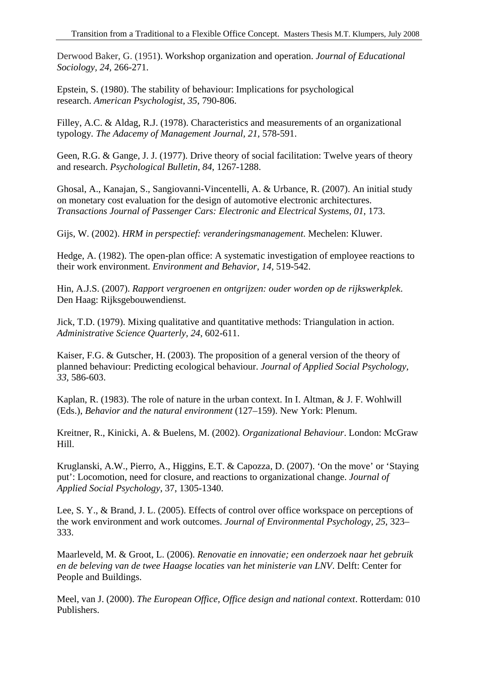Derwood Baker, G. (1951). Workshop organization and operation. *Journal of Educational Sociology, 24,* 266-271.

Epstein, S. (1980). The stability of behaviour: Implications for psychological research. *American Psychologist*, *35*, 790-806.

Filley, A.C. & Aldag, R.J. (1978). Characteristics and measurements of an organizational typology*. The Adacemy of Management Journal, 21,* 578-591.

Geen, R.G. & Gange, J. J. (1977). Drive theory of social facilitation: Twelve years of theory and research. *Psychological Bulletin*, *84*, 1267-1288.

Ghosal, A., Kanajan, S., Sangiovanni-Vincentelli, A. & Urbance, R. (2007). An initial study on monetary cost evaluation for the design of automotive electronic architectures. *Transactions Journal of Passenger Cars: Electronic and Electrical Systems, 01*, 173.

Gijs, W. (2002). *HRM in perspectief: veranderingsmanagement*. Mechelen: Kluwer.

Hedge, A. (1982). The open-plan office: A systematic investigation of employee reactions to their work environment. *Environment and Behavior, 14,* 519-542.

Hin, A.J.S. (2007). *Rapport vergroenen en ontgrijzen: ouder worden op de rijkswerkplek*. Den Haag: Rijksgebouwendienst.

Jick, T.D. (1979). Mixing qualitative and quantitative methods: Triangulation in action. *Administrative Science Quarterly, 24*, 602-611.

Kaiser, F.G. & Gutscher, H. (2003). The proposition of a general version of the theory of planned behaviour: Predicting ecological behaviour. *Journal of Applied Social Psychology, 33,* 586-603.

Kaplan, R. (1983). The role of nature in the urban context. In I. Altman, & J. F. Wohlwill (Eds.), *Behavior and the natural environment* (127–159). New York: Plenum.

Kreitner, R., Kinicki, A. & Buelens, M. (2002). *Organizational Behaviour*. London: McGraw Hill.

Kruglanski, A.W., Pierro, A., Higgins, E.T. & Capozza, D. (2007). 'On the move' or 'Staying put': Locomotion, need for closure, and reactions to organizational change. *Journal of Applied Social Psychology*, 37, 1305-1340.

Lee, S. Y., & Brand, J. L. (2005). Effects of control over office workspace on perceptions of the work environment and work outcomes. *Journal of Environmental Psychology, 25*, 323– 333.

Maarleveld, M. & Groot, L. (2006). *Renovatie en innovatie; een onderzoek naar het gebruik en de beleving van de twee Haagse locaties van het ministerie van LNV*. Delft: Center for People and Buildings.

Meel, van J. (2000). *The European Office, Office design and national context*. Rotterdam: 010 Publishers.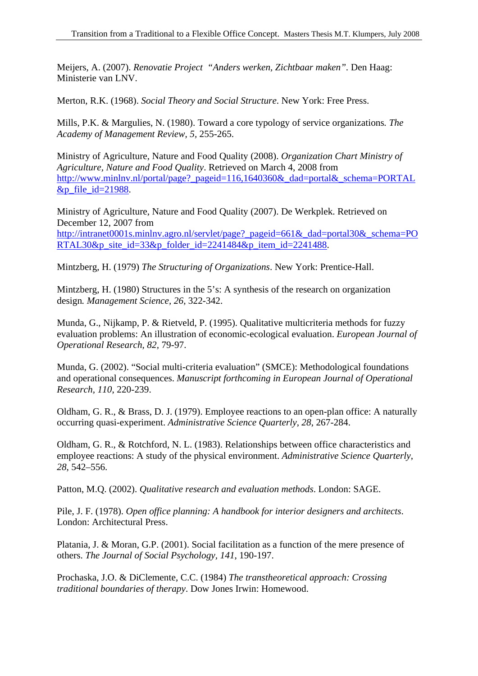Meijers, A. (2007). *Renovatie Project "Anders werken, Zichtbaar maken".* Den Haag: Ministerie van LNV.

Merton, R.K. (1968). *Social Theory and Social Structure*. New York: Free Press.

Mills, P.K. & Margulies, N. (1980). Toward a core typology of service organizations*. The Academy of Management Review, 5,* 255-265.

Ministry of Agriculture, Nature and Food Quality (2008). *Organization Chart Ministry of Agriculture, Nature and Food Quality*. Retrieved on March 4, 2008 from [http://www.minlnv.nl/portal/page?\\_pageid=116,1640360&\\_dad=portal&\\_schema=PORTAL](http://www.minlnv.nl/portal/page?_pageid=116,1640360&_dad=portal&_schema=PORTAL&p_file_id=21988) [&p\\_file\\_id=21988](http://www.minlnv.nl/portal/page?_pageid=116,1640360&_dad=portal&_schema=PORTAL&p_file_id=21988).

Ministry of Agriculture, Nature and Food Quality (2007). De Werkplek. Retrieved on December 12, 2007 from [http://intranet0001s.minlnv.agro.nl/servlet/page?\\_pageid=661&\\_dad=portal30&\\_schema=PO](http://intranet0001s.minlnv.agro.nl/servlet/page?_pageid=661&_dad=portal30&_schema=PORTAL30&p_site_id=33&p_folder_id=2241484&p_item_id=2241488) [RTAL30&p\\_site\\_id=33&p\\_folder\\_id=2241484&p\\_item\\_id=2241488](http://intranet0001s.minlnv.agro.nl/servlet/page?_pageid=661&_dad=portal30&_schema=PORTAL30&p_site_id=33&p_folder_id=2241484&p_item_id=2241488).

Mintzberg, H. (1979) *The Structuring of Organizations*. New York: Prentice-Hall.

Mintzberg, H. (1980) Structures in the 5's: A synthesis of the research on organization design*. Management Science, 26,* 322-342.

Munda, G., Nijkamp, P. & Rietveld, P. (1995). Qualitative multicriteria methods for fuzzy evaluation problems: An illustration of economic-ecological evaluation. *European Journal of Operational Research, 82,* 79-97.

Munda, G. (2002). "Social multi-criteria evaluation" (SMCE): Methodological foundations and operational consequences. *Manuscript forthcoming in European Journal of Operational Research, 110*, 220-239.

Oldham, G. R., & Brass, D. J. (1979). Employee reactions to an open-plan office: A naturally occurring quasi-experiment. *Administrative Science Quarterly*, *28*, 267-284.

Oldham, G. R., & Rotchford, N. L. (1983). Relationships between office characteristics and employee reactions: A study of the physical environment. *Administrative Science Quarterly*, *28*, 542–556.

Patton, M.Q. (2002). *Qualitative research and evaluation methods*. London: SAGE.

Pile, J. F. (1978). *Open office planning: A handbook for interior designers and architects*. London: Architectural Press.

Platania, J. & Moran, G.P. (2001). Social facilitation as a function of the mere presence of others. *The Journal of Social Psychology, 141*, 190-197.

Prochaska, J.O. & DiClemente, C.C. (1984) *The transtheoretical approach: Crossing traditional boundaries of therapy*. Dow Jones Irwin: Homewood.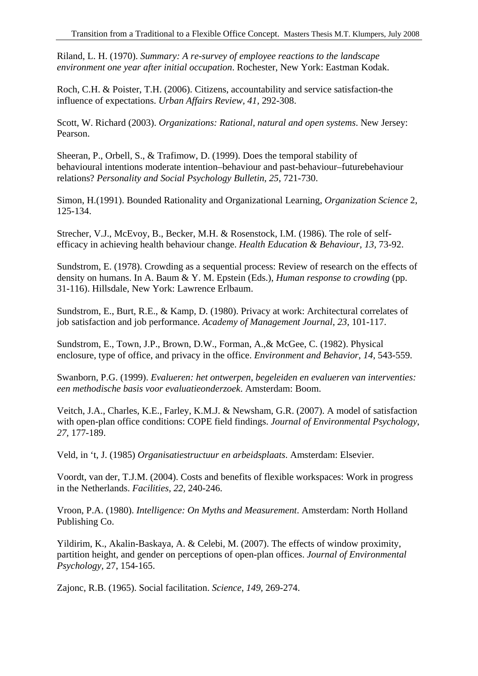Riland, L. H. (1970). *Summary: A re-survey of employee reactions to the landscape environment one year after initial occupation*. Rochester, New York: Eastman Kodak.

Roch, C.H. & Poister, T.H. (2006). Citizens, accountability and service satisfaction-the influence of expectations. *Urban Affairs Review, 41,* 292-308.

Scott, W. Richard (2003). *Organizations: Rational, natural and open systems*. New Jersey: Pearson.

Sheeran, P., Orbell, S., & Trafimow, D. (1999). Does the temporal stability of behavioural intentions moderate intention–behaviour and past-behaviour–futurebehaviour relations? *Personality and Social Psychology Bulletin*, *25*, 721-730.

Simon, H.(1991). Bounded Rationality and Organizational Learning, *Organization Science* 2, 125-134.

Strecher, V.J., McEvoy, B., Becker, M.H. & Rosenstock, I.M. (1986). The role of selfefficacy in achieving health behaviour change. *Health Education & Behaviour, 13,* 73-92.

Sundstrom, E. (1978). Crowding as a sequential process: Review of research on the effects of density on humans. In A. Baum & Y. M. Epstein (Eds.), *Human response to crowding* (pp. 31-116). Hillsdale, New York: Lawrence Erlbaum.

Sundstrom, E., Burt, R.E., & Kamp, D. (1980). Privacy at work: Architectural correlates of job satisfaction and job performance. *Academy of Management Journal*, *23*, 101-117.

Sundstrom, E., Town, J.P., Brown, D.W., Forman, A.,& McGee, C. (1982). Physical enclosure, type of office, and privacy in the office. *Environment and Behavior*, *14*, 543-559.

Swanborn, P.G. (1999). *Evalueren: het ontwerpen, begeleiden en evalueren van interventies: een methodische basis voor evaluatieonderzoek*. Amsterdam: Boom.

Veitch, J.A., Charles, K.E., Farley, K.M.J. & Newsham, G.R. (2007). A model of satisfaction with open-plan office conditions: COPE field findings. *Journal of Environmental Psychology*, *27,* 177-189.

Veld, in 't, J. (1985) *Organisatiestructuur en arbeidsplaats*. Amsterdam: Elsevier.

Voordt, van der, T.J.M. (2004). Costs and benefits of flexible workspaces: Work in progress in the Netherlands. *Facilities, 22,* 240-246.

Vroon, P.A. (1980). *Intelligence: On Myths and Measurement*. Amsterdam: North Holland Publishing Co.

Yildirim, K., Akalin-Baskaya, A. & Celebi, M. (2007). The effects of window proximity, partition height, and gender on perceptions of open-plan offices. *Journal of Environmental Psychology,* 27, 154-165.

Zajonc, R.B. (1965). Social facilitation. *Science*, *149,* 269-274.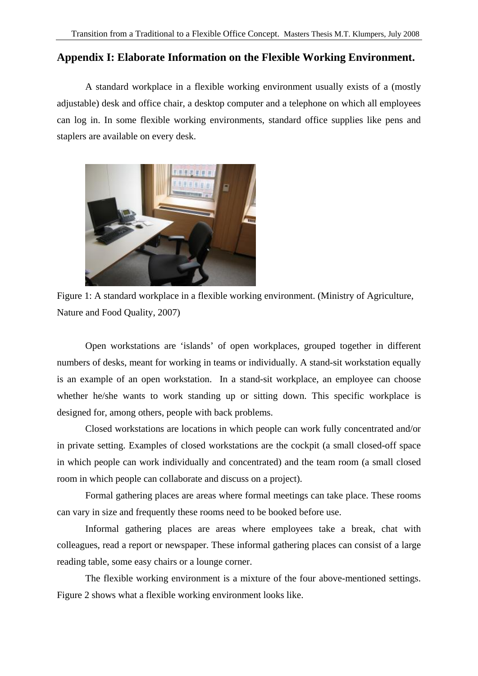## <span id="page-61-0"></span>**Appendix I: Elaborate Information on the Flexible Working Environment.**

A standard workplace in a flexible working environment usually exists of a (mostly adjustable) desk and office chair, a desktop computer and a telephone on which all employees can log in. In some flexible working environments, standard office supplies like pens and staplers are available on every desk.



Figure 1: A standard workplace in a flexible working environment. (Ministry of Agriculture, Nature and Food Quality, 2007)

Open workstations are 'islands' of open workplaces, grouped together in different numbers of desks, meant for working in teams or individually. A stand-sit workstation equally is an example of an open workstation. In a stand-sit workplace, an employee can choose whether he/she wants to work standing up or sitting down. This specific workplace is designed for, among others, people with back problems.

Closed workstations are locations in which people can work fully concentrated and/or in private setting. Examples of closed workstations are the cockpit (a small closed-off space in which people can work individually and concentrated) and the team room (a small closed room in which people can collaborate and discuss on a project).

Formal gathering places are areas where formal meetings can take place. These rooms can vary in size and frequently these rooms need to be booked before use.

Informal gathering places are areas where employees take a break, chat with colleagues, read a report or newspaper. These informal gathering places can consist of a large reading table, some easy chairs or a lounge corner.

The flexible working environment is a mixture of the four above-mentioned settings. Figure 2 shows what a flexible working environment looks like.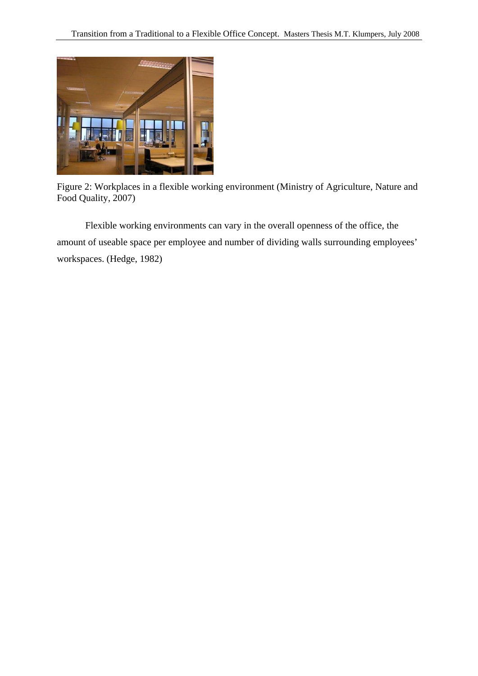

Figure 2: Workplaces in a flexible working environment (Ministry of Agriculture, Nature and Food Quality, 2007)

Flexible working environments can vary in the overall openness of the office, the amount of useable space per employee and number of dividing walls surrounding employees' workspaces. (Hedge, 1982)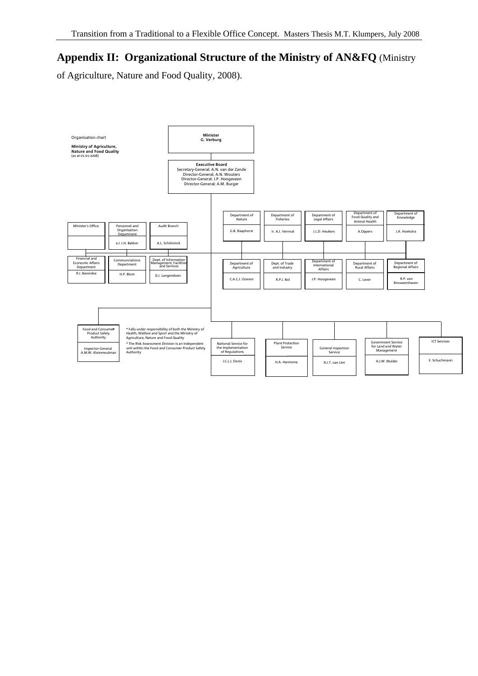## <span id="page-63-0"></span>**Appendix II: Organizational Structure of the Ministry of AN&FQ** (Ministry

of Agriculture, Nature and Food Quality, 2008).

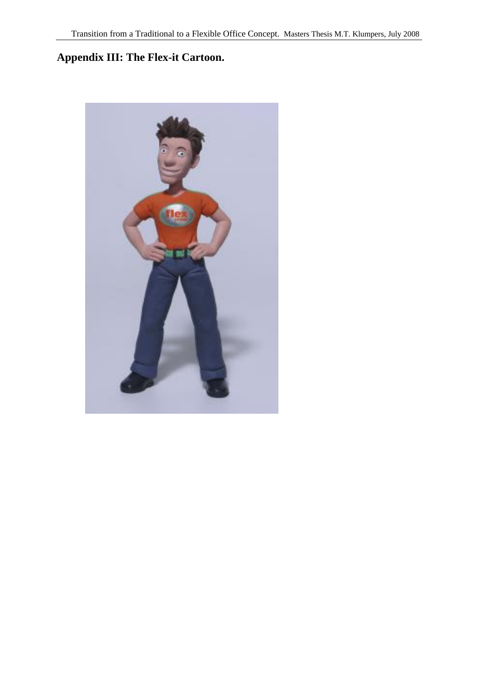# <span id="page-64-0"></span>**Appendix III: The Flex-it Cartoon.**

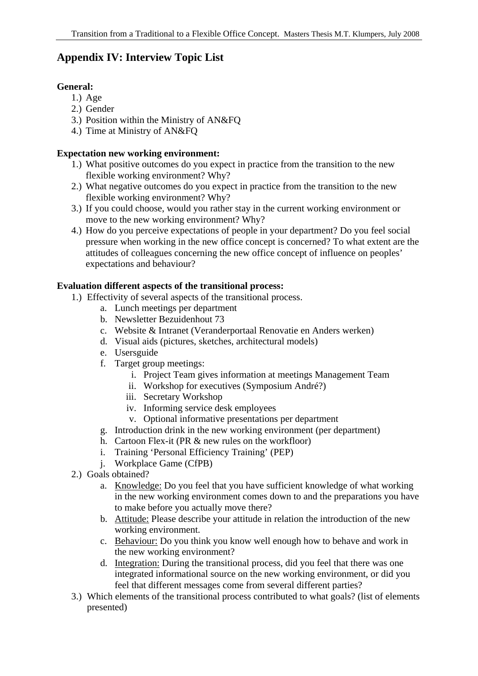## <span id="page-65-0"></span>**Appendix IV: Interview Topic List**

## **General:**

- 1.) Age
- 2.) Gender
- 3.) Position within the Ministry of AN&FQ
- 4.) Time at Ministry of AN&FQ

## **Expectation new working environment:**

- 1.) What positive outcomes do you expect in practice from the transition to the new flexible working environment? Why?
- 2.) What negative outcomes do you expect in practice from the transition to the new flexible working environment? Why?
- 3.) If you could choose, would you rather stay in the current working environment or move to the new working environment? Why?
- 4.) How do you perceive expectations of people in your department? Do you feel social pressure when working in the new office concept is concerned? To what extent are the attitudes of colleagues concerning the new office concept of influence on peoples' expectations and behaviour?

## **Evaluation different aspects of the transitional process:**

- 1.) Effectivity of several aspects of the transitional process.
	- a. Lunch meetings per department
	- b. Newsletter Bezuidenhout 73
	- c. Website & Intranet (Veranderportaal Renovatie en Anders werken)
	- d. Visual aids (pictures, sketches, architectural models)
	- e. Usersguide
	- f. Target group meetings:
		- i. Project Team gives information at meetings Management Team
		- ii. Workshop for executives (Symposium André?)
		- iii. Secretary Workshop
		- iv. Informing service desk employees
		- v. Optional informative presentations per department
	- g. Introduction drink in the new working environment (per department)
	- h. Cartoon Flex-it (PR & new rules on the workfloor)
	- i. Training 'Personal Efficiency Training' (PEP)
	- j. Workplace Game (CfPB)
- 2.) Goals obtained?
	- a. Knowledge: Do you feel that you have sufficient knowledge of what working in the new working environment comes down to and the preparations you have to make before you actually move there?
	- b. Attitude: Please describe your attitude in relation the introduction of the new working environment.
	- c. Behaviour: Do you think you know well enough how to behave and work in the new working environment?
	- d. Integration: During the transitional process, did you feel that there was one integrated informational source on the new working environment, or did you feel that different messages come from several different parties?
- 3.) Which elements of the transitional process contributed to what goals? (list of elements presented)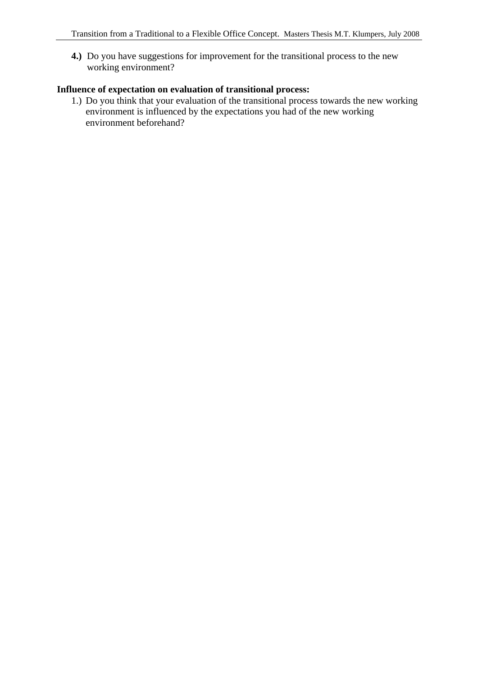**4.)** Do you have suggestions for improvement for the transitional process to the new working environment?

## **Influence of expectation on evaluation of transitional process:**

1.) Do you think that your evaluation of the transitional process towards the new working environment is influenced by the expectations you had of the new working environment beforehand?